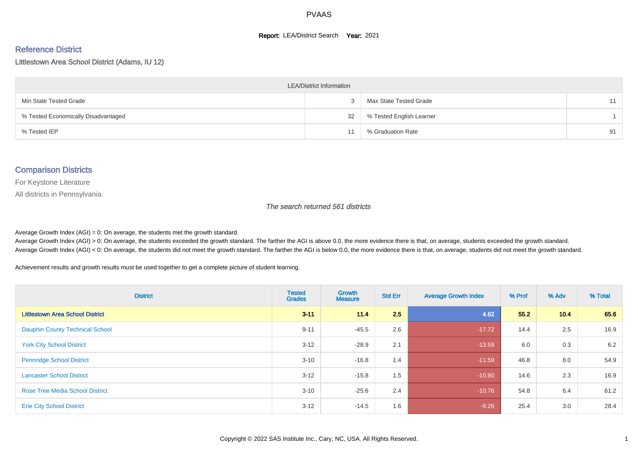#### **Report: LEA/District Search Year: 2021**

#### Reference District

Littlestown Area School District (Adams, IU 12)

| <b>LEA/District Information</b>     |    |                          |    |  |  |  |  |  |  |  |
|-------------------------------------|----|--------------------------|----|--|--|--|--|--|--|--|
| Min State Tested Grade              |    | Max State Tested Grade   | 11 |  |  |  |  |  |  |  |
| % Tested Economically Disadvantaged | 32 | % Tested English Learner |    |  |  |  |  |  |  |  |
| % Tested IEP                        | 11 | % Graduation Rate        | 91 |  |  |  |  |  |  |  |

#### Comparison Districts

For Keystone Literature

All districts in Pennsylvania

The search returned 561 districts

Average Growth Index  $(AGI) = 0$ : On average, the students met the growth standard.

Average Growth Index (AGI) > 0: On average, the students exceeded the growth standard. The farther the AGI is above 0.0, the more evidence there is that, on average, students exceeded the growth standard. Average Growth Index (AGI) < 0: On average, the students did not meet the growth standard. The farther the AGI is below 0.0, the more evidence there is that, on average, students did not meet the growth standard.

Achievement results and growth results must be used together to get a complete picture of student learning.

| <b>District</b>                         | <b>Tested</b><br><b>Grades</b> | <b>Growth</b><br><b>Measure</b> | <b>Std Err</b> | <b>Average Growth Index</b> | % Prof | % Adv | % Total |
|-----------------------------------------|--------------------------------|---------------------------------|----------------|-----------------------------|--------|-------|---------|
| <b>Littlestown Area School District</b> | $3 - 11$                       | 11.4                            | 2.5            | 4.62                        | 55.2   | 10.4  | 65.6    |
| <b>Dauphin County Technical School</b>  | $9 - 11$                       | $-45.5$                         | 2.6            | $-17.72$                    | 14.4   | 2.5   | 16.9    |
| <b>York City School District</b>        | $3 - 12$                       | $-28.9$                         | 2.1            | $-13.59$                    | 6.0    | 0.3   | 6.2     |
| <b>Pennridge School District</b>        | $3 - 10$                       | $-16.8$                         | 1.4            | $-11.59$                    | 46.8   | 8.0   | 54.9    |
| <b>Lancaster School District</b>        | $3 - 12$                       | $-15.8$                         | 1.5            | $-10.90$                    | 14.6   | 2.3   | 16.9    |
| <b>Rose Tree Media School District</b>  | $3 - 10$                       | $-25.6$                         | 2.4            | $-10.76$                    | 54.8   | 6.4   | 61.2    |
| <b>Erie City School District</b>        | $3 - 12$                       | $-14.5$                         | 1.6            | $-9.26$                     | 25.4   | 3.0   | 28.4    |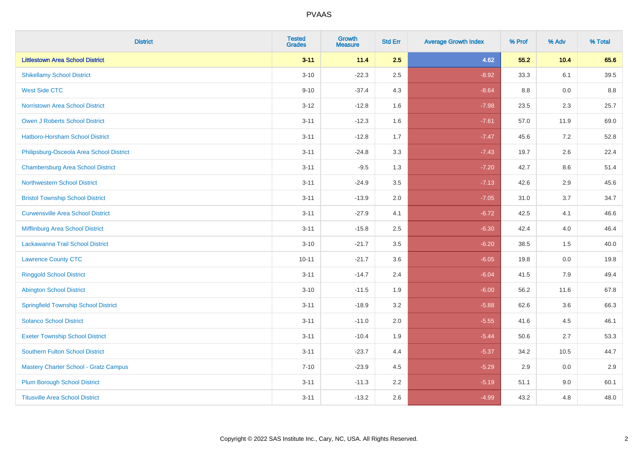| <b>District</b>                              | <b>Tested</b><br><b>Grades</b> | <b>Growth</b><br><b>Measure</b> | <b>Std Err</b> | <b>Average Growth Index</b> | % Prof | % Adv | % Total |
|----------------------------------------------|--------------------------------|---------------------------------|----------------|-----------------------------|--------|-------|---------|
| <b>Littlestown Area School District</b>      | $3 - 11$                       | 11.4                            | 2.5            | 4.62                        | 55.2   | 10.4  | 65.6    |
| <b>Shikellamy School District</b>            | $3 - 10$                       | $-22.3$                         | 2.5            | $-8.92$                     | 33.3   | 6.1   | 39.5    |
| <b>West Side CTC</b>                         | $9 - 10$                       | $-37.4$                         | 4.3            | $-8.64$                     | 8.8    | 0.0   | 8.8     |
| <b>Norristown Area School District</b>       | $3 - 12$                       | $-12.8$                         | 1.6            | $-7.98$                     | 23.5   | 2.3   | 25.7    |
| Owen J Roberts School District               | $3 - 11$                       | $-12.3$                         | 1.6            | $-7.61$                     | 57.0   | 11.9  | 69.0    |
| <b>Hatboro-Horsham School District</b>       | $3 - 11$                       | $-12.8$                         | 1.7            | $-7.47$                     | 45.6   | 7.2   | 52.8    |
| Philipsburg-Osceola Area School District     | $3 - 11$                       | $-24.8$                         | 3.3            | $-7.43$                     | 19.7   | 2.6   | 22.4    |
| <b>Chambersburg Area School District</b>     | $3 - 11$                       | $-9.5$                          | 1.3            | $-7.20$                     | 42.7   | 8.6   | 51.4    |
| <b>Northwestern School District</b>          | $3 - 11$                       | $-24.9$                         | 3.5            | $-7.13$                     | 42.6   | 2.9   | 45.6    |
| <b>Bristol Township School District</b>      | $3 - 11$                       | $-13.9$                         | 2.0            | $-7.05$                     | 31.0   | 3.7   | 34.7    |
| <b>Curwensville Area School District</b>     | $3 - 11$                       | $-27.9$                         | 4.1            | $-6.72$                     | 42.5   | 4.1   | 46.6    |
| Mifflinburg Area School District             | $3 - 11$                       | $-15.8$                         | 2.5            | $-6.30$                     | 42.4   | 4.0   | 46.4    |
| Lackawanna Trail School District             | $3 - 10$                       | $-21.7$                         | 3.5            | $-6.20$                     | 38.5   | 1.5   | 40.0    |
| <b>Lawrence County CTC</b>                   | $10 - 11$                      | $-21.7$                         | 3.6            | $-6.05$                     | 19.8   | 0.0   | 19.8    |
| <b>Ringgold School District</b>              | $3 - 11$                       | $-14.7$                         | 2.4            | $-6.04$                     | 41.5   | 7.9   | 49.4    |
| <b>Abington School District</b>              | $3 - 10$                       | $-11.5$                         | 1.9            | $-6.00$                     | 56.2   | 11.6  | 67.8    |
| <b>Springfield Township School District</b>  | $3 - 11$                       | $-18.9$                         | 3.2            | $-5.88$                     | 62.6   | 3.6   | 66.3    |
| <b>Solanco School District</b>               | $3 - 11$                       | $-11.0$                         | 2.0            | $-5.55$                     | 41.6   | 4.5   | 46.1    |
| <b>Exeter Township School District</b>       | $3 - 11$                       | $-10.4$                         | 1.9            | $-5.44$                     | 50.6   | 2.7   | 53.3    |
| <b>Southern Fulton School District</b>       | $3 - 11$                       | $-23.7$                         | 4.4            | $-5.37$                     | 34.2   | 10.5  | 44.7    |
| <b>Mastery Charter School - Gratz Campus</b> | $7 - 10$                       | $-23.9$                         | 4.5            | $-5.29$                     | 2.9    | 0.0   | 2.9     |
| <b>Plum Borough School District</b>          | $3 - 11$                       | $-11.3$                         | 2.2            | $-5.19$                     | 51.1   | 9.0   | 60.1    |
| <b>Titusville Area School District</b>       | $3 - 11$                       | $-13.2$                         | 2.6            | $-4.99$                     | 43.2   | 4.8   | 48.0    |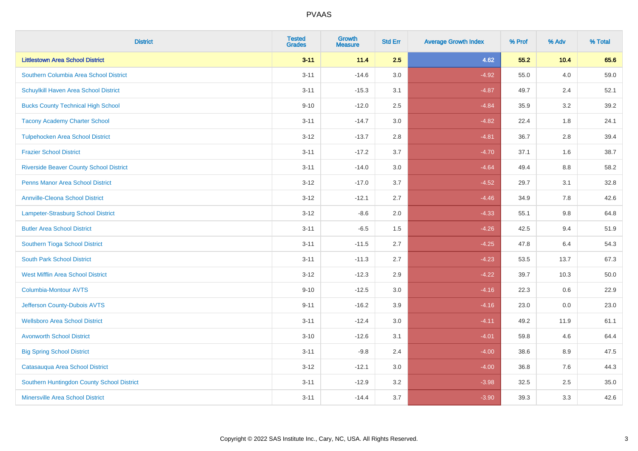| <b>District</b>                                | <b>Tested</b><br><b>Grades</b> | <b>Growth</b><br><b>Measure</b> | <b>Std Err</b> | <b>Average Growth Index</b> | % Prof | % Adv   | % Total |
|------------------------------------------------|--------------------------------|---------------------------------|----------------|-----------------------------|--------|---------|---------|
| <b>Littlestown Area School District</b>        | $3 - 11$                       | 11.4                            | 2.5            | 4.62                        | 55.2   | 10.4    | 65.6    |
| Southern Columbia Area School District         | $3 - 11$                       | $-14.6$                         | 3.0            | $-4.92$                     | 55.0   | 4.0     | 59.0    |
| Schuylkill Haven Area School District          | $3 - 11$                       | $-15.3$                         | 3.1            | $-4.87$                     | 49.7   | 2.4     | 52.1    |
| <b>Bucks County Technical High School</b>      | $9 - 10$                       | $-12.0$                         | 2.5            | $-4.84$                     | 35.9   | 3.2     | 39.2    |
| <b>Tacony Academy Charter School</b>           | $3 - 11$                       | $-14.7$                         | 3.0            | $-4.82$                     | 22.4   | 1.8     | 24.1    |
| <b>Tulpehocken Area School District</b>        | $3 - 12$                       | $-13.7$                         | 2.8            | $-4.81$                     | 36.7   | 2.8     | 39.4    |
| <b>Frazier School District</b>                 | $3 - 11$                       | $-17.2$                         | 3.7            | $-4.70$                     | 37.1   | 1.6     | 38.7    |
| <b>Riverside Beaver County School District</b> | $3 - 11$                       | $-14.0$                         | 3.0            | $-4.64$                     | 49.4   | 8.8     | 58.2    |
| <b>Penns Manor Area School District</b>        | $3 - 12$                       | $-17.0$                         | 3.7            | $-4.52$                     | 29.7   | 3.1     | 32.8    |
| <b>Annville-Cleona School District</b>         | $3 - 12$                       | $-12.1$                         | 2.7            | $-4.46$                     | 34.9   | 7.8     | 42.6    |
| Lampeter-Strasburg School District             | $3 - 12$                       | $-8.6$                          | 2.0            | $-4.33$                     | 55.1   | 9.8     | 64.8    |
| <b>Butler Area School District</b>             | $3 - 11$                       | $-6.5$                          | 1.5            | $-4.26$                     | 42.5   | 9.4     | 51.9    |
| Southern Tioga School District                 | $3 - 11$                       | $-11.5$                         | 2.7            | $-4.25$                     | 47.8   | 6.4     | 54.3    |
| <b>South Park School District</b>              | $3 - 11$                       | $-11.3$                         | 2.7            | $-4.23$                     | 53.5   | 13.7    | 67.3    |
| <b>West Mifflin Area School District</b>       | $3 - 12$                       | $-12.3$                         | 2.9            | $-4.22$                     | 39.7   | 10.3    | 50.0    |
| <b>Columbia-Montour AVTS</b>                   | $9 - 10$                       | $-12.5$                         | 3.0            | $-4.16$                     | 22.3   | $0.6\,$ | 22.9    |
| Jefferson County-Dubois AVTS                   | $9 - 11$                       | $-16.2$                         | 3.9            | $-4.16$                     | 23.0   | 0.0     | 23.0    |
| <b>Wellsboro Area School District</b>          | $3 - 11$                       | $-12.4$                         | 3.0            | $-4.11$                     | 49.2   | 11.9    | 61.1    |
| <b>Avonworth School District</b>               | $3 - 10$                       | $-12.6$                         | 3.1            | $-4.01$                     | 59.8   | 4.6     | 64.4    |
| <b>Big Spring School District</b>              | $3 - 11$                       | $-9.8$                          | 2.4            | $-4.00$                     | 38.6   | 8.9     | 47.5    |
| Catasauqua Area School District                | $3 - 12$                       | $-12.1$                         | 3.0            | $-4.00$                     | 36.8   | 7.6     | 44.3    |
| Southern Huntingdon County School District     | $3 - 11$                       | $-12.9$                         | 3.2            | $-3.98$                     | 32.5   | 2.5     | 35.0    |
| <b>Minersville Area School District</b>        | $3 - 11$                       | $-14.4$                         | 3.7            | $-3.90$                     | 39.3   | 3.3     | 42.6    |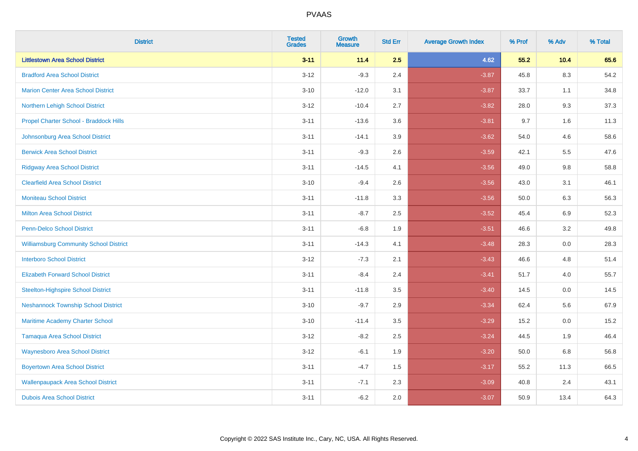| <b>District</b>                               | <b>Tested</b><br><b>Grades</b> | <b>Growth</b><br><b>Measure</b> | <b>Std Err</b> | <b>Average Growth Index</b> | % Prof | % Adv | % Total |
|-----------------------------------------------|--------------------------------|---------------------------------|----------------|-----------------------------|--------|-------|---------|
| <b>Littlestown Area School District</b>       | $3 - 11$                       | 11.4                            | 2.5            | 4.62                        | 55.2   | 10.4  | 65.6    |
| <b>Bradford Area School District</b>          | $3 - 12$                       | $-9.3$                          | 2.4            | $-3.87$                     | 45.8   | 8.3   | 54.2    |
| <b>Marion Center Area School District</b>     | $3 - 10$                       | $-12.0$                         | 3.1            | $-3.87$                     | 33.7   | 1.1   | 34.8    |
| Northern Lehigh School District               | $3 - 12$                       | $-10.4$                         | 2.7            | $-3.82$                     | 28.0   | 9.3   | 37.3    |
| Propel Charter School - Braddock Hills        | $3 - 11$                       | $-13.6$                         | 3.6            | $-3.81$                     | 9.7    | 1.6   | 11.3    |
| Johnsonburg Area School District              | $3 - 11$                       | $-14.1$                         | 3.9            | $-3.62$                     | 54.0   | 4.6   | 58.6    |
| <b>Berwick Area School District</b>           | $3 - 11$                       | $-9.3$                          | 2.6            | $-3.59$                     | 42.1   | 5.5   | 47.6    |
| <b>Ridgway Area School District</b>           | $3 - 11$                       | $-14.5$                         | 4.1            | $-3.56$                     | 49.0   | 9.8   | 58.8    |
| <b>Clearfield Area School District</b>        | $3 - 10$                       | $-9.4$                          | 2.6            | $-3.56$                     | 43.0   | 3.1   | 46.1    |
| Moniteau School District                      | $3 - 11$                       | $-11.8$                         | 3.3            | $-3.56$                     | 50.0   | 6.3   | 56.3    |
| <b>Milton Area School District</b>            | $3 - 11$                       | $-8.7$                          | 2.5            | $-3.52$                     | 45.4   | 6.9   | 52.3    |
| <b>Penn-Delco School District</b>             | $3 - 11$                       | $-6.8$                          | 1.9            | $-3.51$                     | 46.6   | 3.2   | 49.8    |
| <b>Williamsburg Community School District</b> | $3 - 11$                       | $-14.3$                         | 4.1            | $-3.48$                     | 28.3   | 0.0   | 28.3    |
| <b>Interboro School District</b>              | $3 - 12$                       | $-7.3$                          | 2.1            | $-3.43$                     | 46.6   | 4.8   | 51.4    |
| <b>Elizabeth Forward School District</b>      | $3 - 11$                       | $-8.4$                          | 2.4            | $-3.41$                     | 51.7   | 4.0   | 55.7    |
| <b>Steelton-Highspire School District</b>     | $3 - 11$                       | $-11.8$                         | 3.5            | $-3.40$                     | 14.5   | 0.0   | 14.5    |
| <b>Neshannock Township School District</b>    | $3 - 10$                       | $-9.7$                          | 2.9            | $-3.34$                     | 62.4   | 5.6   | 67.9    |
| Maritime Academy Charter School               | $3 - 10$                       | $-11.4$                         | 3.5            | $-3.29$                     | 15.2   | 0.0   | 15.2    |
| <b>Tamaqua Area School District</b>           | $3 - 12$                       | $-8.2$                          | 2.5            | $-3.24$                     | 44.5   | 1.9   | 46.4    |
| <b>Waynesboro Area School District</b>        | $3 - 12$                       | $-6.1$                          | 1.9            | $-3.20$                     | 50.0   | 6.8   | 56.8    |
| <b>Boyertown Area School District</b>         | $3 - 11$                       | $-4.7$                          | 1.5            | $-3.17$                     | 55.2   | 11.3  | 66.5    |
| <b>Wallenpaupack Area School District</b>     | $3 - 11$                       | $-7.1$                          | 2.3            | $-3.09$                     | 40.8   | 2.4   | 43.1    |
| <b>Dubois Area School District</b>            | $3 - 11$                       | $-6.2$                          | 2.0            | $-3.07$                     | 50.9   | 13.4  | 64.3    |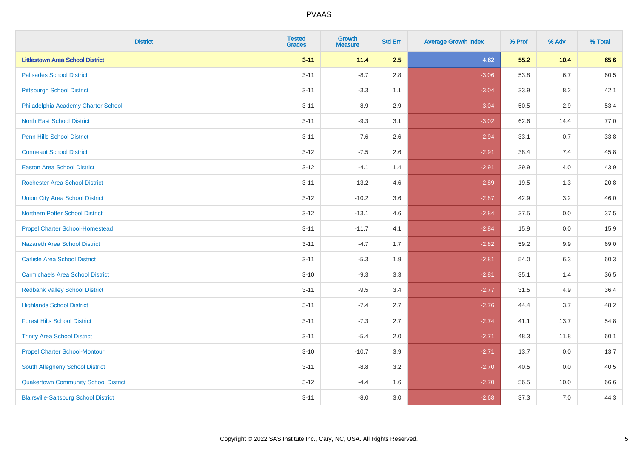| <b>District</b>                              | <b>Tested</b><br><b>Grades</b> | <b>Growth</b><br><b>Measure</b> | <b>Std Err</b> | <b>Average Growth Index</b> | % Prof | % Adv   | % Total |
|----------------------------------------------|--------------------------------|---------------------------------|----------------|-----------------------------|--------|---------|---------|
| <b>Littlestown Area School District</b>      | $3 - 11$                       | 11.4                            | 2.5            | 4.62                        | 55.2   | 10.4    | 65.6    |
| <b>Palisades School District</b>             | $3 - 11$                       | $-8.7$                          | 2.8            | $-3.06$                     | 53.8   | $6.7\,$ | 60.5    |
| <b>Pittsburgh School District</b>            | $3 - 11$                       | $-3.3$                          | 1.1            | $-3.04$                     | 33.9   | 8.2     | 42.1    |
| Philadelphia Academy Charter School          | $3 - 11$                       | $-8.9$                          | 2.9            | $-3.04$                     | 50.5   | 2.9     | 53.4    |
| <b>North East School District</b>            | $3 - 11$                       | $-9.3$                          | 3.1            | $-3.02$                     | 62.6   | 14.4    | 77.0    |
| <b>Penn Hills School District</b>            | $3 - 11$                       | $-7.6$                          | 2.6            | $-2.94$                     | 33.1   | 0.7     | 33.8    |
| <b>Conneaut School District</b>              | $3 - 12$                       | $-7.5$                          | 2.6            | $-2.91$                     | 38.4   | 7.4     | 45.8    |
| <b>Easton Area School District</b>           | $3-12$                         | $-4.1$                          | 1.4            | $-2.91$                     | 39.9   | 4.0     | 43.9    |
| <b>Rochester Area School District</b>        | $3 - 11$                       | $-13.2$                         | 4.6            | $-2.89$                     | 19.5   | 1.3     | 20.8    |
| <b>Union City Area School District</b>       | $3 - 12$                       | $-10.2$                         | 3.6            | $-2.87$                     | 42.9   | 3.2     | 46.0    |
| <b>Northern Potter School District</b>       | $3 - 12$                       | $-13.1$                         | 4.6            | $-2.84$                     | 37.5   | 0.0     | 37.5    |
| <b>Propel Charter School-Homestead</b>       | $3 - 11$                       | $-11.7$                         | 4.1            | $-2.84$                     | 15.9   | 0.0     | 15.9    |
| Nazareth Area School District                | $3 - 11$                       | $-4.7$                          | 1.7            | $-2.82$                     | 59.2   | $9.9\,$ | 69.0    |
| <b>Carlisle Area School District</b>         | $3 - 11$                       | $-5.3$                          | 1.9            | $-2.81$                     | 54.0   | 6.3     | 60.3    |
| <b>Carmichaels Area School District</b>      | $3 - 10$                       | $-9.3$                          | 3.3            | $-2.81$                     | 35.1   | 1.4     | 36.5    |
| <b>Redbank Valley School District</b>        | $3 - 11$                       | $-9.5$                          | 3.4            | $-2.77$                     | 31.5   | 4.9     | 36.4    |
| <b>Highlands School District</b>             | $3 - 11$                       | $-7.4$                          | 2.7            | $-2.76$                     | 44.4   | 3.7     | 48.2    |
| <b>Forest Hills School District</b>          | $3 - 11$                       | $-7.3$                          | 2.7            | $-2.74$                     | 41.1   | 13.7    | 54.8    |
| <b>Trinity Area School District</b>          | $3 - 11$                       | $-5.4$                          | 2.0            | $-2.71$                     | 48.3   | 11.8    | 60.1    |
| <b>Propel Charter School-Montour</b>         | $3 - 10$                       | $-10.7$                         | 3.9            | $-2.71$                     | 13.7   | 0.0     | 13.7    |
| South Allegheny School District              | $3 - 11$                       | $-8.8$                          | 3.2            | $-2.70$                     | 40.5   | 0.0     | 40.5    |
| <b>Quakertown Community School District</b>  | $3 - 12$                       | $-4.4$                          | 1.6            | $-2.70$                     | 56.5   | 10.0    | 66.6    |
| <b>Blairsville-Saltsburg School District</b> | $3 - 11$                       | $-8.0$                          | 3.0            | $-2.68$                     | 37.3   | 7.0     | 44.3    |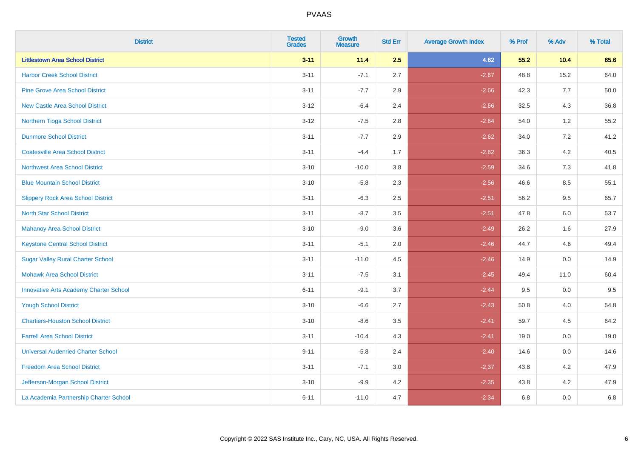| <b>District</b>                               | <b>Tested</b><br><b>Grades</b> | <b>Growth</b><br><b>Measure</b> | <b>Std Err</b> | <b>Average Growth Index</b> | % Prof | % Adv   | % Total |
|-----------------------------------------------|--------------------------------|---------------------------------|----------------|-----------------------------|--------|---------|---------|
| <b>Littlestown Area School District</b>       | $3 - 11$                       | 11.4                            | 2.5            | 4.62                        | 55.2   | 10.4    | 65.6    |
| <b>Harbor Creek School District</b>           | $3 - 11$                       | $-7.1$                          | 2.7            | $-2.67$                     | 48.8   | 15.2    | 64.0    |
| <b>Pine Grove Area School District</b>        | $3 - 11$                       | $-7.7$                          | 2.9            | $-2.66$                     | 42.3   | 7.7     | 50.0    |
| <b>New Castle Area School District</b>        | $3-12$                         | $-6.4$                          | 2.4            | $-2.66$                     | 32.5   | $4.3$   | 36.8    |
| Northern Tioga School District                | $3 - 12$                       | $-7.5$                          | 2.8            | $-2.64$                     | 54.0   | 1.2     | 55.2    |
| <b>Dunmore School District</b>                | $3 - 11$                       | $-7.7$                          | 2.9            | $-2.62$                     | 34.0   | 7.2     | 41.2    |
| <b>Coatesville Area School District</b>       | $3 - 11$                       | $-4.4$                          | 1.7            | $-2.62$                     | 36.3   | $4.2\,$ | 40.5    |
| <b>Northwest Area School District</b>         | $3 - 10$                       | $-10.0$                         | 3.8            | $-2.59$                     | 34.6   | 7.3     | 41.8    |
| <b>Blue Mountain School District</b>          | $3 - 10$                       | $-5.8$                          | 2.3            | $-2.56$                     | 46.6   | 8.5     | 55.1    |
| <b>Slippery Rock Area School District</b>     | $3 - 11$                       | $-6.3$                          | 2.5            | $-2.51$                     | 56.2   | $9.5\,$ | 65.7    |
| <b>North Star School District</b>             | $3 - 11$                       | $-8.7$                          | 3.5            | $-2.51$                     | 47.8   | 6.0     | 53.7    |
| <b>Mahanoy Area School District</b>           | $3 - 10$                       | $-9.0$                          | 3.6            | $-2.49$                     | 26.2   | 1.6     | 27.9    |
| <b>Keystone Central School District</b>       | $3 - 11$                       | $-5.1$                          | 2.0            | $-2.46$                     | 44.7   | 4.6     | 49.4    |
| <b>Sugar Valley Rural Charter School</b>      | $3 - 11$                       | $-11.0$                         | 4.5            | $-2.46$                     | 14.9   | $0.0\,$ | 14.9    |
| <b>Mohawk Area School District</b>            | $3 - 11$                       | $-7.5$                          | 3.1            | $-2.45$                     | 49.4   | 11.0    | 60.4    |
| <b>Innovative Arts Academy Charter School</b> | $6 - 11$                       | $-9.1$                          | 3.7            | $-2.44$                     | 9.5    | 0.0     | 9.5     |
| <b>Yough School District</b>                  | $3 - 10$                       | $-6.6$                          | 2.7            | $-2.43$                     | 50.8   | 4.0     | 54.8    |
| <b>Chartiers-Houston School District</b>      | $3 - 10$                       | $-8.6$                          | 3.5            | $-2.41$                     | 59.7   | 4.5     | 64.2    |
| <b>Farrell Area School District</b>           | $3 - 11$                       | $-10.4$                         | 4.3            | $-2.41$                     | 19.0   | 0.0     | 19.0    |
| <b>Universal Audenried Charter School</b>     | $9 - 11$                       | $-5.8$                          | 2.4            | $-2.40$                     | 14.6   | 0.0     | 14.6    |
| <b>Freedom Area School District</b>           | $3 - 11$                       | $-7.1$                          | 3.0            | $-2.37$                     | 43.8   | 4.2     | 47.9    |
| Jefferson-Morgan School District              | $3 - 10$                       | $-9.9$                          | 4.2            | $-2.35$                     | 43.8   | 4.2     | 47.9    |
| La Academia Partnership Charter School        | $6 - 11$                       | $-11.0$                         | 4.7            | $-2.34$                     | 6.8    | 0.0     | 6.8     |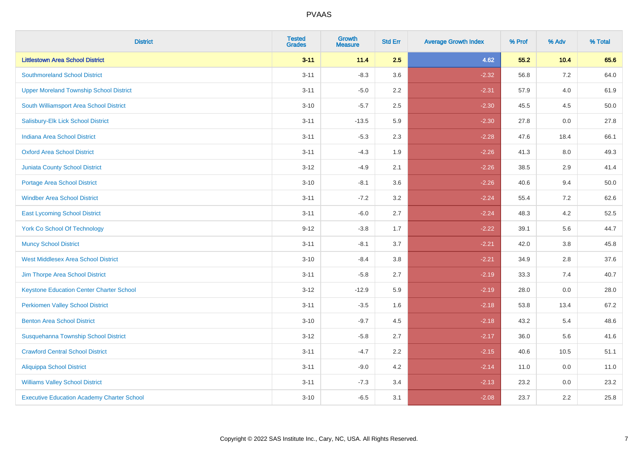| <b>District</b>                                   | <b>Tested</b><br><b>Grades</b> | <b>Growth</b><br><b>Measure</b> | <b>Std Err</b> | <b>Average Growth Index</b> | % Prof | % Adv   | % Total |
|---------------------------------------------------|--------------------------------|---------------------------------|----------------|-----------------------------|--------|---------|---------|
| <b>Littlestown Area School District</b>           | $3 - 11$                       | 11.4                            | 2.5            | 4.62                        | 55.2   | 10.4    | 65.6    |
| <b>Southmoreland School District</b>              | $3 - 11$                       | $-8.3$                          | 3.6            | $-2.32$                     | 56.8   | 7.2     | 64.0    |
| <b>Upper Moreland Township School District</b>    | $3 - 11$                       | $-5.0$                          | 2.2            | $-2.31$                     | 57.9   | 4.0     | 61.9    |
| South Williamsport Area School District           | $3 - 10$                       | $-5.7$                          | 2.5            | $-2.30$                     | 45.5   | 4.5     | 50.0    |
| Salisbury-Elk Lick School District                | $3 - 11$                       | $-13.5$                         | 5.9            | $-2.30$                     | 27.8   | 0.0     | 27.8    |
| <b>Indiana Area School District</b>               | $3 - 11$                       | $-5.3$                          | 2.3            | $-2.28$                     | 47.6   | 18.4    | 66.1    |
| <b>Oxford Area School District</b>                | $3 - 11$                       | $-4.3$                          | 1.9            | $-2.26$                     | 41.3   | $8.0\,$ | 49.3    |
| <b>Juniata County School District</b>             | $3 - 12$                       | $-4.9$                          | 2.1            | $-2.26$                     | 38.5   | 2.9     | 41.4    |
| Portage Area School District                      | $3 - 10$                       | $-8.1$                          | 3.6            | $-2.26$                     | 40.6   | 9.4     | 50.0    |
| <b>Windber Area School District</b>               | $3 - 11$                       | $-7.2$                          | 3.2            | $-2.24$                     | 55.4   | 7.2     | 62.6    |
| <b>East Lycoming School District</b>              | $3 - 11$                       | $-6.0$                          | 2.7            | $-2.24$                     | 48.3   | 4.2     | 52.5    |
| <b>York Co School Of Technology</b>               | $9 - 12$                       | $-3.8$                          | 1.7            | $-2.22$                     | 39.1   | 5.6     | 44.7    |
| <b>Muncy School District</b>                      | $3 - 11$                       | $-8.1$                          | 3.7            | $-2.21$                     | 42.0   | 3.8     | 45.8    |
| <b>West Middlesex Area School District</b>        | $3 - 10$                       | $-8.4$                          | 3.8            | $-2.21$                     | 34.9   | 2.8     | 37.6    |
| Jim Thorpe Area School District                   | $3 - 11$                       | $-5.8$                          | 2.7            | $-2.19$                     | 33.3   | 7.4     | 40.7    |
| <b>Keystone Education Center Charter School</b>   | $3 - 12$                       | $-12.9$                         | 5.9            | $-2.19$                     | 28.0   | 0.0     | 28.0    |
| <b>Perkiomen Valley School District</b>           | $3 - 11$                       | $-3.5$                          | 1.6            | $-2.18$                     | 53.8   | 13.4    | 67.2    |
| <b>Benton Area School District</b>                | $3 - 10$                       | $-9.7$                          | 4.5            | $-2.18$                     | 43.2   | 5.4     | 48.6    |
| Susquehanna Township School District              | $3 - 12$                       | $-5.8$                          | 2.7            | $-2.17$                     | 36.0   | 5.6     | 41.6    |
| <b>Crawford Central School District</b>           | $3 - 11$                       | $-4.7$                          | 2.2            | $-2.15$                     | 40.6   | 10.5    | 51.1    |
| Aliquippa School District                         | $3 - 11$                       | $-9.0$                          | 4.2            | $-2.14$                     | 11.0   | 0.0     | 11.0    |
| <b>Williams Valley School District</b>            | $3 - 11$                       | $-7.3$                          | 3.4            | $-2.13$                     | 23.2   | 0.0     | 23.2    |
| <b>Executive Education Academy Charter School</b> | $3 - 10$                       | $-6.5$                          | 3.1            | $-2.08$                     | 23.7   | 2.2     | 25.8    |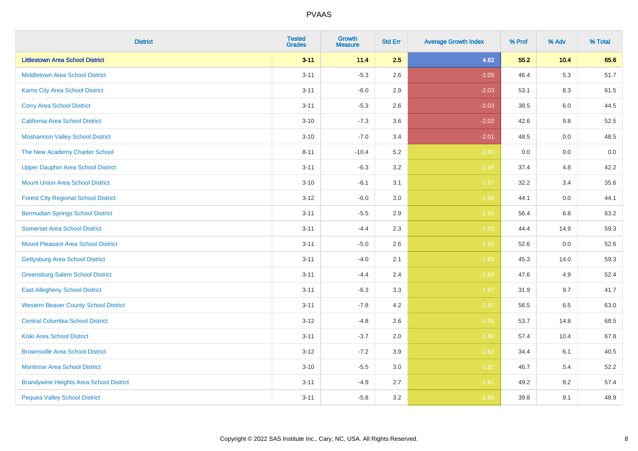| <b>District</b>                                | <b>Tested</b><br><b>Grades</b> | <b>Growth</b><br><b>Measure</b> | <b>Std Err</b> | <b>Average Growth Index</b> | % Prof | % Adv | % Total |
|------------------------------------------------|--------------------------------|---------------------------------|----------------|-----------------------------|--------|-------|---------|
| <b>Littlestown Area School District</b>        | $3 - 11$                       | 11.4                            | 2.5            | 4.62                        | 55.2   | 10.4  | 65.6    |
| <b>Middletown Area School District</b>         | $3 - 11$                       | $-5.3$                          | 2.6            | $-2.05$                     | 46.4   | 5.3   | 51.7    |
| <b>Karns City Area School District</b>         | $3 - 11$                       | $-6.0$                          | 2.9            | $-2.03$                     | 53.1   | 8.3   | 61.5    |
| <b>Corry Area School District</b>              | $3 - 11$                       | $-5.3$                          | 2.6            | $-2.03$                     | 38.5   | 6.0   | 44.5    |
| <b>California Area School District</b>         | $3 - 10$                       | $-7.3$                          | 3.6            | $-2.02$                     | 42.6   | 9.8   | 52.5    |
| <b>Moshannon Valley School District</b>        | $3 - 10$                       | $-7.0$                          | 3.4            | $-2.01$                     | 48.5   | 0.0   | 48.5    |
| The New Academy Charter School                 | $8 - 11$                       | $-10.4$                         | 5.2            | $-2.00$                     | 0.0    | 0.0   | 0.0     |
| <b>Upper Dauphin Area School District</b>      | $3 - 11$                       | $-6.3$                          | 3.2            | $-1.98$                     | 37.4   | 4.8   | 42.2    |
| <b>Mount Union Area School District</b>        | $3 - 10$                       | $-6.1$                          | 3.1            | $-1.97$                     | 32.2   | 3.4   | 35.6    |
| <b>Forest City Regional School District</b>    | $3 - 12$                       | $-6.0$                          | 3.0            | $-1.96$                     | 44.1   | 0.0   | 44.1    |
| <b>Bermudian Springs School District</b>       | $3 - 11$                       | $-5.5$                          | 2.9            | $-1.94$                     | 56.4   | 6.8   | 63.2    |
| <b>Somerset Area School District</b>           | $3 - 11$                       | $-4.4$                          | 2.3            | $-1.93$                     | 44.4   | 14.9  | 59.3    |
| <b>Mount Pleasant Area School District</b>     | $3 - 11$                       | $-5.0$                          | 2.6            | $-1.93$                     | 52.6   | 0.0   | 52.6    |
| Gettysburg Area School District                | $3 - 11$                       | $-4.0$                          | 2.1            | $-1.89$                     | 45.3   | 14.0  | 59.3    |
| <b>Greensburg Salem School District</b>        | $3 - 11$                       | $-4.4$                          | 2.4            | $-1.88$                     | 47.6   | 4.9   | 52.4    |
| <b>East Allegheny School District</b>          | $3 - 11$                       | $-6.3$                          | 3.3            | $-1.87$                     | 31.9   | 9.7   | 41.7    |
| <b>Western Beaver County School District</b>   | $3 - 11$                       | $-7.8$                          | 4.2            | $-1.87$                     | 56.5   | 6.5   | 63.0    |
| <b>Central Columbia School District</b>        | $3 - 12$                       | $-4.8$                          | 2.6            | $-1.86$                     | 53.7   | 14.8  | 68.5    |
| <b>Kiski Area School District</b>              | $3 - 11$                       | $-3.7$                          | 2.0            | $-1.86$                     | 57.4   | 10.4  | 67.8    |
| <b>Brownsville Area School District</b>        | $3 - 12$                       | $-7.2$                          | 3.9            | $-1.83$                     | 34.4   | 6.1   | 40.5    |
| <b>Montrose Area School District</b>           | $3 - 10$                       | $-5.5$                          | 3.0            | $-1.82$                     | 46.7   | 5.4   | 52.2    |
| <b>Brandywine Heights Area School District</b> | $3 - 11$                       | $-4.9$                          | 2.7            | $-1.81$                     | 49.2   | 8.2   | 57.4    |
| <b>Pequea Valley School District</b>           | $3 - 11$                       | $-5.8$                          | 3.2            | $-1.80$                     | 39.8   | 9.1   | 48.9    |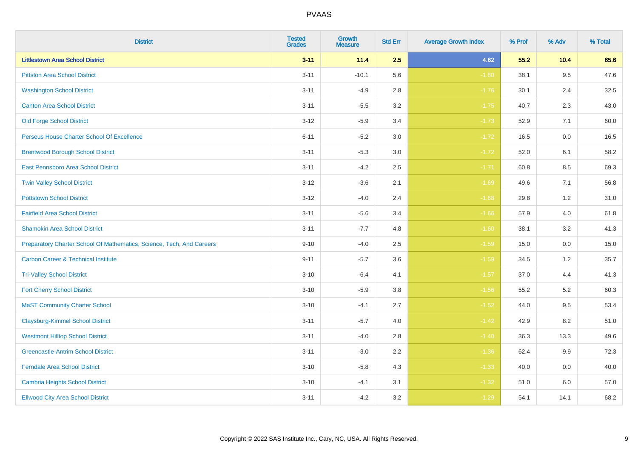| <b>District</b>                                                       | <b>Tested</b><br><b>Grades</b> | <b>Growth</b><br><b>Measure</b> | <b>Std Err</b> | <b>Average Growth Index</b> | % Prof | % Adv | % Total |
|-----------------------------------------------------------------------|--------------------------------|---------------------------------|----------------|-----------------------------|--------|-------|---------|
| <b>Littlestown Area School District</b>                               | $3 - 11$                       | 11.4                            | 2.5            | 4.62                        | 55.2   | 10.4  | 65.6    |
| <b>Pittston Area School District</b>                                  | $3 - 11$                       | $-10.1$                         | 5.6            | $-1.80$                     | 38.1   | 9.5   | 47.6    |
| <b>Washington School District</b>                                     | $3 - 11$                       | $-4.9$                          | 2.8            | $-1.76$                     | 30.1   | 2.4   | 32.5    |
| <b>Canton Area School District</b>                                    | $3 - 11$                       | $-5.5$                          | $3.2\,$        | $-1.75$                     | 40.7   | 2.3   | 43.0    |
| <b>Old Forge School District</b>                                      | $3 - 12$                       | $-5.9$                          | 3.4            | $-1.73$                     | 52.9   | 7.1   | 60.0    |
| Perseus House Charter School Of Excellence                            | $6 - 11$                       | $-5.2$                          | 3.0            | $-1.72$                     | 16.5   | 0.0   | 16.5    |
| <b>Brentwood Borough School District</b>                              | $3 - 11$                       | $-5.3$                          | $3.0\,$        | $-1.72$                     | 52.0   | 6.1   | 58.2    |
| East Pennsboro Area School District                                   | $3 - 11$                       | $-4.2$                          | 2.5            | $-1.71$                     | 60.8   | 8.5   | 69.3    |
| <b>Twin Valley School District</b>                                    | $3 - 12$                       | $-3.6$                          | 2.1            | $-1.69$                     | 49.6   | 7.1   | 56.8    |
| <b>Pottstown School District</b>                                      | $3 - 12$                       | $-4.0$                          | 2.4            | $-1.68$                     | 29.8   | 1.2   | 31.0    |
| <b>Fairfield Area School District</b>                                 | $3 - 11$                       | $-5.6$                          | 3.4            | $-1.66$                     | 57.9   | 4.0   | 61.8    |
| <b>Shamokin Area School District</b>                                  | $3 - 11$                       | $-7.7$                          | 4.8            | $-1.60$                     | 38.1   | 3.2   | 41.3    |
| Preparatory Charter School Of Mathematics, Science, Tech, And Careers | $9 - 10$                       | $-4.0$                          | 2.5            | $-1.59$                     | 15.0   | 0.0   | 15.0    |
| <b>Carbon Career &amp; Technical Institute</b>                        | $9 - 11$                       | $-5.7$                          | 3.6            | $-1.59$                     | 34.5   | 1.2   | 35.7    |
| <b>Tri-Valley School District</b>                                     | $3 - 10$                       | $-6.4$                          | 4.1            | $-1.57$                     | 37.0   | 4.4   | 41.3    |
| <b>Fort Cherry School District</b>                                    | $3 - 10$                       | $-5.9$                          | 3.8            | $-1.56$                     | 55.2   | 5.2   | 60.3    |
| <b>MaST Community Charter School</b>                                  | $3 - 10$                       | $-4.1$                          | 2.7            | $-1.52$                     | 44.0   | 9.5   | 53.4    |
| <b>Claysburg-Kimmel School District</b>                               | $3 - 11$                       | $-5.7$                          | 4.0            | $-1.42$                     | 42.9   | 8.2   | 51.0    |
| <b>Westmont Hilltop School District</b>                               | $3 - 11$                       | $-4.0$                          | 2.8            | $-1.40$                     | 36.3   | 13.3  | 49.6    |
| <b>Greencastle-Antrim School District</b>                             | $3 - 11$                       | $-3.0$                          | 2.2            | $-1.36$                     | 62.4   | 9.9   | 72.3    |
| <b>Ferndale Area School District</b>                                  | $3 - 10$                       | $-5.8$                          | 4.3            | $-1.33$                     | 40.0   | 0.0   | 40.0    |
| <b>Cambria Heights School District</b>                                | $3 - 10$                       | $-4.1$                          | 3.1            | $-1.32$                     | 51.0   | 6.0   | 57.0    |
| <b>Ellwood City Area School District</b>                              | $3 - 11$                       | $-4.2$                          | 3.2            | $-1.29$                     | 54.1   | 14.1  | 68.2    |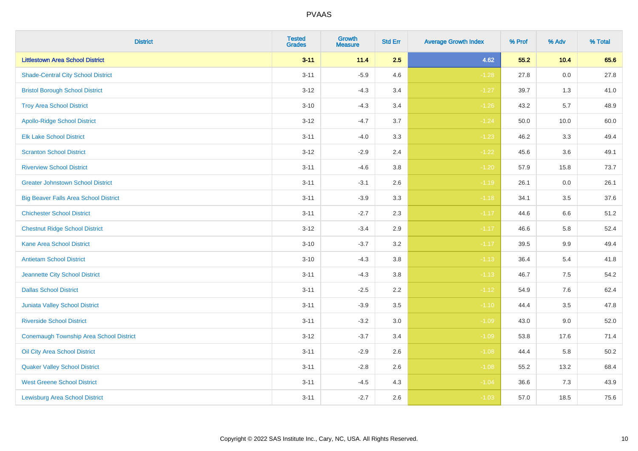| <b>District</b>                              | <b>Tested</b><br><b>Grades</b> | <b>Growth</b><br><b>Measure</b> | <b>Std Err</b> | <b>Average Growth Index</b> | % Prof | % Adv   | % Total |
|----------------------------------------------|--------------------------------|---------------------------------|----------------|-----------------------------|--------|---------|---------|
| <b>Littlestown Area School District</b>      | $3 - 11$                       | 11.4                            | 2.5            | 4.62                        | 55.2   | 10.4    | 65.6    |
| <b>Shade-Central City School District</b>    | $3 - 11$                       | $-5.9$                          | 4.6            | $-1.28$                     | 27.8   | $0.0\,$ | 27.8    |
| <b>Bristol Borough School District</b>       | $3 - 12$                       | $-4.3$                          | 3.4            | $-1.27$                     | 39.7   | 1.3     | 41.0    |
| <b>Troy Area School District</b>             | $3 - 10$                       | $-4.3$                          | 3.4            | $-1.26$                     | 43.2   | 5.7     | 48.9    |
| <b>Apollo-Ridge School District</b>          | $3 - 12$                       | $-4.7$                          | 3.7            | $-1.24$                     | 50.0   | 10.0    | 60.0    |
| <b>Elk Lake School District</b>              | $3 - 11$                       | $-4.0$                          | 3.3            | $-1.23$                     | 46.2   | 3.3     | 49.4    |
| <b>Scranton School District</b>              | $3 - 12$                       | $-2.9$                          | 2.4            | $-1.22$                     | 45.6   | 3.6     | 49.1    |
| <b>Riverview School District</b>             | $3 - 11$                       | $-4.6$                          | 3.8            | $-1.20$                     | 57.9   | 15.8    | 73.7    |
| <b>Greater Johnstown School District</b>     | $3 - 11$                       | $-3.1$                          | 2.6            | $-1.19$                     | 26.1   | 0.0     | 26.1    |
| <b>Big Beaver Falls Area School District</b> | $3 - 11$                       | $-3.9$                          | 3.3            | $-1.18$                     | 34.1   | 3.5     | 37.6    |
| <b>Chichester School District</b>            | $3 - 11$                       | $-2.7$                          | 2.3            | $-1.17$                     | 44.6   | 6.6     | 51.2    |
| <b>Chestnut Ridge School District</b>        | $3 - 12$                       | $-3.4$                          | 2.9            | $-1.17$                     | 46.6   | 5.8     | 52.4    |
| Kane Area School District                    | $3 - 10$                       | $-3.7$                          | $3.2\,$        | $-1.17$                     | 39.5   | $9.9\,$ | 49.4    |
| <b>Antietam School District</b>              | $3 - 10$                       | $-4.3$                          | 3.8            | $-1.13$                     | 36.4   | 5.4     | 41.8    |
| Jeannette City School District               | $3 - 11$                       | $-4.3$                          | 3.8            | $-1.13$                     | 46.7   | 7.5     | 54.2    |
| <b>Dallas School District</b>                | $3 - 11$                       | $-2.5$                          | 2.2            | $-1.12$                     | 54.9   | 7.6     | 62.4    |
| Juniata Valley School District               | $3 - 11$                       | $-3.9$                          | 3.5            | $-1.10$                     | 44.4   | 3.5     | 47.8    |
| <b>Riverside School District</b>             | $3 - 11$                       | $-3.2$                          | 3.0            | $-1.09$                     | 43.0   | 9.0     | 52.0    |
| Conemaugh Township Area School District      | $3 - 12$                       | $-3.7$                          | 3.4            | $-1.09$                     | 53.8   | 17.6    | 71.4    |
| Oil City Area School District                | $3 - 11$                       | $-2.9$                          | 2.6            | $-1.08$                     | 44.4   | 5.8     | 50.2    |
| <b>Quaker Valley School District</b>         | $3 - 11$                       | $-2.8$                          | 2.6            | $-1.08$                     | 55.2   | 13.2    | 68.4    |
| <b>West Greene School District</b>           | $3 - 11$                       | $-4.5$                          | 4.3            | $-1.04$                     | 36.6   | 7.3     | 43.9    |
| <b>Lewisburg Area School District</b>        | $3 - 11$                       | $-2.7$                          | 2.6            | $-1.03$                     | 57.0   | 18.5    | 75.6    |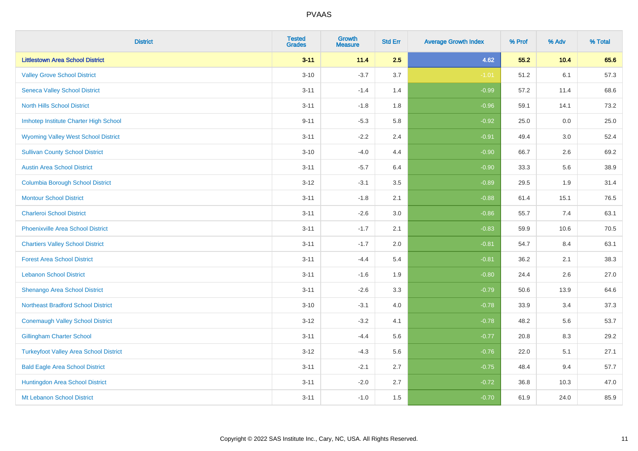| <b>District</b>                               | <b>Tested</b><br><b>Grades</b> | <b>Growth</b><br><b>Measure</b> | <b>Std Err</b> | <b>Average Growth Index</b> | % Prof | % Adv | % Total |
|-----------------------------------------------|--------------------------------|---------------------------------|----------------|-----------------------------|--------|-------|---------|
| <b>Littlestown Area School District</b>       | $3 - 11$                       | 11.4                            | 2.5            | 4.62                        | 55.2   | 10.4  | 65.6    |
| <b>Valley Grove School District</b>           | $3 - 10$                       | $-3.7$                          | 3.7            | $-1.01$                     | 51.2   | 6.1   | 57.3    |
| <b>Seneca Valley School District</b>          | $3 - 11$                       | $-1.4$                          | 1.4            | $-0.99$                     | 57.2   | 11.4  | 68.6    |
| <b>North Hills School District</b>            | $3 - 11$                       | $-1.8$                          | 1.8            | $-0.96$                     | 59.1   | 14.1  | 73.2    |
| Imhotep Institute Charter High School         | $9 - 11$                       | $-5.3$                          | 5.8            | $-0.92$                     | 25.0   | 0.0   | 25.0    |
| <b>Wyoming Valley West School District</b>    | $3 - 11$                       | $-2.2$                          | 2.4            | $-0.91$                     | 49.4   | 3.0   | 52.4    |
| <b>Sullivan County School District</b>        | $3 - 10$                       | $-4.0$                          | 4.4            | $-0.90$                     | 66.7   | 2.6   | 69.2    |
| <b>Austin Area School District</b>            | $3 - 11$                       | $-5.7$                          | 6.4            | $-0.90$                     | 33.3   | 5.6   | 38.9    |
| <b>Columbia Borough School District</b>       | $3 - 12$                       | $-3.1$                          | 3.5            | $-0.89$                     | 29.5   | 1.9   | 31.4    |
| <b>Montour School District</b>                | $3 - 11$                       | $-1.8$                          | 2.1            | $-0.88$                     | 61.4   | 15.1  | 76.5    |
| <b>Charleroi School District</b>              | $3 - 11$                       | $-2.6$                          | 3.0            | $-0.86$                     | 55.7   | 7.4   | 63.1    |
| <b>Phoenixville Area School District</b>      | $3 - 11$                       | $-1.7$                          | 2.1            | $-0.83$                     | 59.9   | 10.6  | 70.5    |
| <b>Chartiers Valley School District</b>       | $3 - 11$                       | $-1.7$                          | 2.0            | $-0.81$                     | 54.7   | 8.4   | 63.1    |
| <b>Forest Area School District</b>            | $3 - 11$                       | $-4.4$                          | 5.4            | $-0.81$                     | 36.2   | 2.1   | 38.3    |
| <b>Lebanon School District</b>                | $3 - 11$                       | $-1.6$                          | 1.9            | $-0.80$                     | 24.4   | 2.6   | 27.0    |
| Shenango Area School District                 | $3 - 11$                       | $-2.6$                          | 3.3            | $-0.79$                     | 50.6   | 13.9  | 64.6    |
| <b>Northeast Bradford School District</b>     | $3 - 10$                       | $-3.1$                          | 4.0            | $-0.78$                     | 33.9   | 3.4   | 37.3    |
| <b>Conemaugh Valley School District</b>       | $3 - 12$                       | $-3.2$                          | 4.1            | $-0.78$                     | 48.2   | 5.6   | 53.7    |
| <b>Gillingham Charter School</b>              | $3 - 11$                       | $-4.4$                          | 5.6            | $-0.77$                     | 20.8   | 8.3   | 29.2    |
| <b>Turkeyfoot Valley Area School District</b> | $3 - 12$                       | $-4.3$                          | 5.6            | $-0.76$                     | 22.0   | 5.1   | 27.1    |
| <b>Bald Eagle Area School District</b>        | $3 - 11$                       | $-2.1$                          | 2.7            | $-0.75$                     | 48.4   | 9.4   | 57.7    |
| Huntingdon Area School District               | $3 - 11$                       | $-2.0$                          | 2.7            | $-0.72$                     | 36.8   | 10.3  | 47.0    |
| Mt Lebanon School District                    | $3 - 11$                       | $-1.0$                          | 1.5            | $-0.70$                     | 61.9   | 24.0  | 85.9    |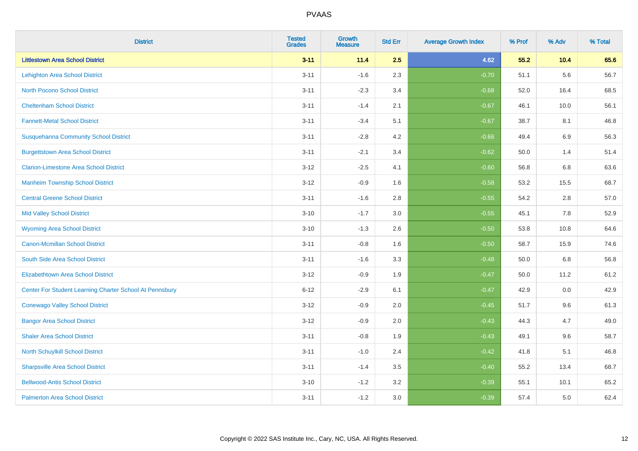| <b>District</b>                                         | <b>Tested</b><br><b>Grades</b> | <b>Growth</b><br><b>Measure</b> | <b>Std Err</b> | <b>Average Growth Index</b> | % Prof | % Adv   | % Total |
|---------------------------------------------------------|--------------------------------|---------------------------------|----------------|-----------------------------|--------|---------|---------|
| <b>Littlestown Area School District</b>                 | $3 - 11$                       | 11.4                            | 2.5            | 4.62                        | 55.2   | 10.4    | 65.6    |
| <b>Lehighton Area School District</b>                   | $3 - 11$                       | $-1.6$                          | 2.3            | $-0.70$                     | 51.1   | 5.6     | 56.7    |
| <b>North Pocono School District</b>                     | $3 - 11$                       | $-2.3$                          | 3.4            | $-0.68$                     | 52.0   | 16.4    | 68.5    |
| <b>Cheltenham School District</b>                       | $3 - 11$                       | $-1.4$                          | 2.1            | $-0.67$                     | 46.1   | 10.0    | 56.1    |
| <b>Fannett-Metal School District</b>                    | $3 - 11$                       | $-3.4$                          | 5.1            | $-0.67$                     | 38.7   | 8.1     | 46.8    |
| <b>Susquehanna Community School District</b>            | $3 - 11$                       | $-2.8$                          | 4.2            | $-0.66$                     | 49.4   | 6.9     | 56.3    |
| <b>Burgettstown Area School District</b>                | $3 - 11$                       | $-2.1$                          | 3.4            | $-0.62$                     | 50.0   | 1.4     | 51.4    |
| <b>Clarion-Limestone Area School District</b>           | $3 - 12$                       | $-2.5$                          | 4.1            | $-0.60$                     | 56.8   | 6.8     | 63.6    |
| <b>Manheim Township School District</b>                 | $3 - 12$                       | $-0.9$                          | 1.6            | $-0.58$                     | 53.2   | 15.5    | 68.7    |
| <b>Central Greene School District</b>                   | $3 - 11$                       | $-1.6$                          | 2.8            | $-0.55$                     | 54.2   | $2.8\,$ | 57.0    |
| <b>Mid Valley School District</b>                       | $3 - 10$                       | $-1.7$                          | 3.0            | $-0.55$                     | 45.1   | 7.8     | 52.9    |
| <b>Wyoming Area School District</b>                     | $3 - 10$                       | $-1.3$                          | 2.6            | $-0.50$                     | 53.8   | 10.8    | 64.6    |
| <b>Canon-Mcmillan School District</b>                   | $3 - 11$                       | $-0.8$                          | 1.6            | $-0.50$                     | 58.7   | 15.9    | 74.6    |
| South Side Area School District                         | $3 - 11$                       | $-1.6$                          | 3.3            | $-0.48$                     | 50.0   | 6.8     | 56.8    |
| <b>Elizabethtown Area School District</b>               | $3 - 12$                       | $-0.9$                          | 1.9            | $-0.47$                     | 50.0   | 11.2    | 61.2    |
| Center For Student Learning Charter School At Pennsbury | $6 - 12$                       | $-2.9$                          | 6.1            | $-0.47$                     | 42.9   | 0.0     | 42.9    |
| <b>Conewago Valley School District</b>                  | $3 - 12$                       | $-0.9$                          | 2.0            | $-0.45$                     | 51.7   | 9.6     | 61.3    |
| <b>Bangor Area School District</b>                      | $3 - 12$                       | $-0.9$                          | 2.0            | $-0.43$                     | 44.3   | 4.7     | 49.0    |
| <b>Shaler Area School District</b>                      | $3 - 11$                       | $-0.8$                          | 1.9            | $-0.43$                     | 49.1   | 9.6     | 58.7    |
| North Schuylkill School District                        | $3 - 11$                       | $-1.0$                          | 2.4            | $-0.42$                     | 41.8   | 5.1     | 46.8    |
| <b>Sharpsville Area School District</b>                 | $3 - 11$                       | $-1.4$                          | 3.5            | $-0.40$                     | 55.2   | 13.4    | 68.7    |
| <b>Bellwood-Antis School District</b>                   | $3 - 10$                       | $-1.2$                          | 3.2            | $-0.39$                     | 55.1   | 10.1    | 65.2    |
| <b>Palmerton Area School District</b>                   | $3 - 11$                       | $-1.2$                          | 3.0            | $-0.39$                     | 57.4   | 5.0     | 62.4    |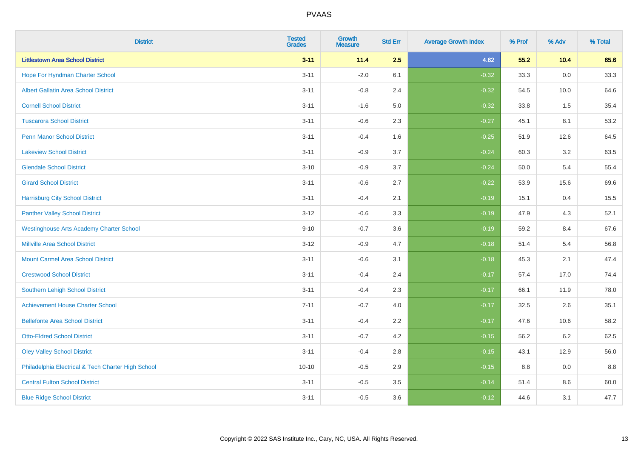| <b>District</b>                                    | <b>Tested</b><br><b>Grades</b> | Growth<br><b>Measure</b> | <b>Std Err</b> | <b>Average Growth Index</b> | % Prof | % Adv   | % Total |
|----------------------------------------------------|--------------------------------|--------------------------|----------------|-----------------------------|--------|---------|---------|
| <b>Littlestown Area School District</b>            | $3 - 11$                       | 11.4                     | 2.5            | 4.62                        | 55.2   | 10.4    | 65.6    |
| Hope For Hyndman Charter School                    | $3 - 11$                       | $-2.0$                   | 6.1            | $-0.32$                     | 33.3   | 0.0     | 33.3    |
| <b>Albert Gallatin Area School District</b>        | $3 - 11$                       | $-0.8$                   | 2.4            | $-0.32$                     | 54.5   | 10.0    | 64.6    |
| <b>Cornell School District</b>                     | $3 - 11$                       | $-1.6$                   | 5.0            | $-0.32$                     | 33.8   | 1.5     | 35.4    |
| <b>Tuscarora School District</b>                   | $3 - 11$                       | $-0.6$                   | 2.3            | $-0.27$                     | 45.1   | 8.1     | 53.2    |
| <b>Penn Manor School District</b>                  | $3 - 11$                       | $-0.4$                   | 1.6            | $-0.25$                     | 51.9   | 12.6    | 64.5    |
| <b>Lakeview School District</b>                    | $3 - 11$                       | $-0.9$                   | 3.7            | $-0.24$                     | 60.3   | 3.2     | 63.5    |
| <b>Glendale School District</b>                    | $3 - 10$                       | $-0.9$                   | 3.7            | $-0.24$                     | 50.0   | 5.4     | 55.4    |
| <b>Girard School District</b>                      | $3 - 11$                       | $-0.6$                   | 2.7            | $-0.22$                     | 53.9   | 15.6    | 69.6    |
| <b>Harrisburg City School District</b>             | $3 - 11$                       | $-0.4$                   | 2.1            | $-0.19$                     | 15.1   | 0.4     | 15.5    |
| <b>Panther Valley School District</b>              | $3 - 12$                       | $-0.6$                   | 3.3            | $-0.19$                     | 47.9   | 4.3     | 52.1    |
| <b>Westinghouse Arts Academy Charter School</b>    | $9 - 10$                       | $-0.7$                   | 3.6            | $-0.19$                     | 59.2   | 8.4     | 67.6    |
| <b>Millville Area School District</b>              | $3 - 12$                       | $-0.9$                   | 4.7            | $-0.18$                     | 51.4   | 5.4     | 56.8    |
| <b>Mount Carmel Area School District</b>           | $3 - 11$                       | $-0.6$                   | 3.1            | $-0.18$                     | 45.3   | 2.1     | 47.4    |
| <b>Crestwood School District</b>                   | $3 - 11$                       | $-0.4$                   | 2.4            | $-0.17$                     | 57.4   | 17.0    | 74.4    |
| Southern Lehigh School District                    | $3 - 11$                       | $-0.4$                   | 2.3            | $-0.17$                     | 66.1   | 11.9    | 78.0    |
| <b>Achievement House Charter School</b>            | $7 - 11$                       | $-0.7$                   | 4.0            | $-0.17$                     | 32.5   | 2.6     | 35.1    |
| <b>Bellefonte Area School District</b>             | $3 - 11$                       | $-0.4$                   | 2.2            | $-0.17$                     | 47.6   | 10.6    | 58.2    |
| <b>Otto-Eldred School District</b>                 | $3 - 11$                       | $-0.7$                   | 4.2            | $-0.15$                     | 56.2   | $6.2\,$ | 62.5    |
| <b>Oley Valley School District</b>                 | $3 - 11$                       | $-0.4$                   | 2.8            | $-0.15$                     | 43.1   | 12.9    | 56.0    |
| Philadelphia Electrical & Tech Charter High School | $10 - 10$                      | $-0.5$                   | 2.9            | $-0.15$                     | 8.8    | 0.0     | 8.8     |
| <b>Central Fulton School District</b>              | $3 - 11$                       | $-0.5$                   | 3.5            | $-0.14$                     | 51.4   | 8.6     | 60.0    |
| <b>Blue Ridge School District</b>                  | $3 - 11$                       | $-0.5$                   | 3.6            | $-0.12$                     | 44.6   | 3.1     | 47.7    |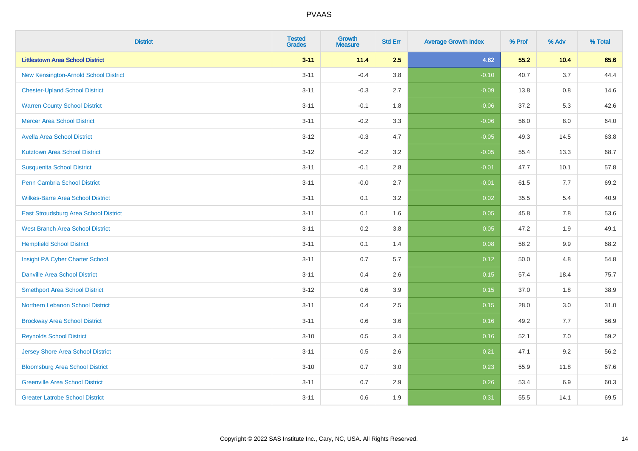| <b>District</b>                          | <b>Tested</b><br><b>Grades</b> | Growth<br><b>Measure</b> | <b>Std Err</b> | <b>Average Growth Index</b> | % Prof | % Adv   | % Total |
|------------------------------------------|--------------------------------|--------------------------|----------------|-----------------------------|--------|---------|---------|
| <b>Littlestown Area School District</b>  | $3 - 11$                       | 11.4                     | 2.5            | 4.62                        | 55.2   | 10.4    | 65.6    |
| New Kensington-Arnold School District    | $3 - 11$                       | $-0.4$                   | 3.8            | $-0.10$                     | 40.7   | 3.7     | 44.4    |
| <b>Chester-Upland School District</b>    | $3 - 11$                       | $-0.3$                   | 2.7            | $-0.09$                     | 13.8   | 0.8     | 14.6    |
| <b>Warren County School District</b>     | $3 - 11$                       | $-0.1$                   | 1.8            | $-0.06$                     | 37.2   | 5.3     | 42.6    |
| <b>Mercer Area School District</b>       | $3 - 11$                       | $-0.2$                   | 3.3            | $-0.06$                     | 56.0   | 8.0     | 64.0    |
| <b>Avella Area School District</b>       | $3 - 12$                       | $-0.3$                   | 4.7            | $-0.05$                     | 49.3   | 14.5    | 63.8    |
| <b>Kutztown Area School District</b>     | $3 - 12$                       | $-0.2$                   | 3.2            | $-0.05$                     | 55.4   | 13.3    | 68.7    |
| <b>Susquenita School District</b>        | $3 - 11$                       | $-0.1$                   | 2.8            | $-0.01$                     | 47.7   | 10.1    | 57.8    |
| <b>Penn Cambria School District</b>      | $3 - 11$                       | $-0.0$                   | 2.7            | $-0.01$                     | 61.5   | 7.7     | 69.2    |
| <b>Wilkes-Barre Area School District</b> | $3 - 11$                       | 0.1                      | 3.2            | 0.02                        | 35.5   | 5.4     | 40.9    |
| East Stroudsburg Area School District    | $3 - 11$                       | 0.1                      | 1.6            | 0.05                        | 45.8   | 7.8     | 53.6    |
| <b>West Branch Area School District</b>  | $3 - 11$                       | 0.2                      | 3.8            | 0.05                        | 47.2   | 1.9     | 49.1    |
| <b>Hempfield School District</b>         | $3 - 11$                       | 0.1                      | 1.4            | 0.08                        | 58.2   | $9.9\,$ | 68.2    |
| Insight PA Cyber Charter School          | $3 - 11$                       | 0.7                      | 5.7            | 0.12                        | 50.0   | 4.8     | 54.8    |
| <b>Danville Area School District</b>     | $3 - 11$                       | 0.4                      | 2.6            | 0.15                        | 57.4   | 18.4    | 75.7    |
| <b>Smethport Area School District</b>    | $3 - 12$                       | 0.6                      | 3.9            | 0.15                        | 37.0   | 1.8     | 38.9    |
| Northern Lebanon School District         | $3 - 11$                       | 0.4                      | 2.5            | 0.15                        | 28.0   | 3.0     | 31.0    |
| <b>Brockway Area School District</b>     | $3 - 11$                       | 0.6                      | 3.6            | 0.16                        | 49.2   | 7.7     | 56.9    |
| <b>Reynolds School District</b>          | $3 - 10$                       | 0.5                      | 3.4            | 0.16                        | 52.1   | 7.0     | 59.2    |
| <b>Jersey Shore Area School District</b> | $3 - 11$                       | 0.5                      | 2.6            | 0.21                        | 47.1   | 9.2     | 56.2    |
| <b>Bloomsburg Area School District</b>   | $3 - 10$                       | 0.7                      | 3.0            | 0.23                        | 55.9   | 11.8    | 67.6    |
| <b>Greenville Area School District</b>   | $3 - 11$                       | 0.7                      | 2.9            | 0.26                        | 53.4   | 6.9     | 60.3    |
| <b>Greater Latrobe School District</b>   | $3 - 11$                       | 0.6                      | 1.9            | 0.31                        | 55.5   | 14.1    | 69.5    |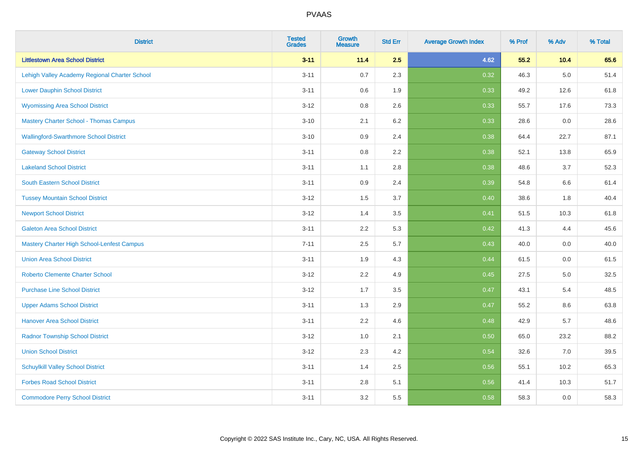| <b>District</b>                                   | <b>Tested</b><br><b>Grades</b> | <b>Growth</b><br><b>Measure</b> | <b>Std Err</b> | <b>Average Growth Index</b> | % Prof | % Adv   | % Total |
|---------------------------------------------------|--------------------------------|---------------------------------|----------------|-----------------------------|--------|---------|---------|
| <b>Littlestown Area School District</b>           | $3 - 11$                       | 11.4                            | 2.5            | 4.62                        | 55.2   | 10.4    | 65.6    |
| Lehigh Valley Academy Regional Charter School     | $3 - 11$                       | 0.7                             | 2.3            | 0.32                        | 46.3   | $5.0\,$ | 51.4    |
| <b>Lower Dauphin School District</b>              | $3 - 11$                       | 0.6                             | 1.9            | 0.33                        | 49.2   | 12.6    | 61.8    |
| <b>Wyomissing Area School District</b>            | $3 - 12$                       | 0.8                             | 2.6            | 0.33                        | 55.7   | 17.6    | 73.3    |
| <b>Mastery Charter School - Thomas Campus</b>     | $3 - 10$                       | 2.1                             | 6.2            | 0.33                        | 28.6   | 0.0     | 28.6    |
| <b>Wallingford-Swarthmore School District</b>     | $3 - 10$                       | 0.9                             | 2.4            | 0.38                        | 64.4   | 22.7    | 87.1    |
| <b>Gateway School District</b>                    | $3 - 11$                       | 0.8                             | 2.2            | 0.38                        | 52.1   | 13.8    | 65.9    |
| <b>Lakeland School District</b>                   | $3 - 11$                       | 1.1                             | 2.8            | 0.38                        | 48.6   | 3.7     | 52.3    |
| <b>South Eastern School District</b>              | $3 - 11$                       | 0.9                             | 2.4            | 0.39                        | 54.8   | 6.6     | 61.4    |
| <b>Tussey Mountain School District</b>            | $3 - 12$                       | 1.5                             | 3.7            | 0.40                        | 38.6   | 1.8     | 40.4    |
| <b>Newport School District</b>                    | $3 - 12$                       | 1.4                             | 3.5            | 0.41                        | 51.5   | 10.3    | 61.8    |
| <b>Galeton Area School District</b>               | $3 - 11$                       | 2.2                             | 5.3            | 0.42                        | 41.3   | 4.4     | 45.6    |
| <b>Mastery Charter High School-Lenfest Campus</b> | $7 - 11$                       | 2.5                             | 5.7            | 0.43                        | 40.0   | $0.0\,$ | 40.0    |
| <b>Union Area School District</b>                 | $3 - 11$                       | 1.9                             | 4.3            | 0.44                        | 61.5   | 0.0     | 61.5    |
| <b>Roberto Clemente Charter School</b>            | $3 - 12$                       | 2.2                             | 4.9            | $\boxed{0.45}$              | 27.5   | $5.0\,$ | 32.5    |
| <b>Purchase Line School District</b>              | $3 - 12$                       | 1.7                             | 3.5            | 0.47                        | 43.1   | 5.4     | 48.5    |
| <b>Upper Adams School District</b>                | $3 - 11$                       | 1.3                             | 2.9            | 0.47                        | 55.2   | 8.6     | 63.8    |
| <b>Hanover Area School District</b>               | $3 - 11$                       | 2.2                             | 4.6            | 0.48                        | 42.9   | 5.7     | 48.6    |
| <b>Radnor Township School District</b>            | $3 - 12$                       | 1.0                             | 2.1            | 0.50                        | 65.0   | 23.2    | 88.2    |
| <b>Union School District</b>                      | $3 - 12$                       | 2.3                             | 4.2            | 0.54                        | 32.6   | 7.0     | 39.5    |
| <b>Schuylkill Valley School District</b>          | $3 - 11$                       | 1.4                             | 2.5            | 0.56                        | 55.1   | 10.2    | 65.3    |
| <b>Forbes Road School District</b>                | $3 - 11$                       | $2.8\,$                         | 5.1            | 0.56                        | 41.4   | 10.3    | 51.7    |
| <b>Commodore Perry School District</b>            | $3 - 11$                       | 3.2                             | 5.5            | 0.58                        | 58.3   | 0.0     | 58.3    |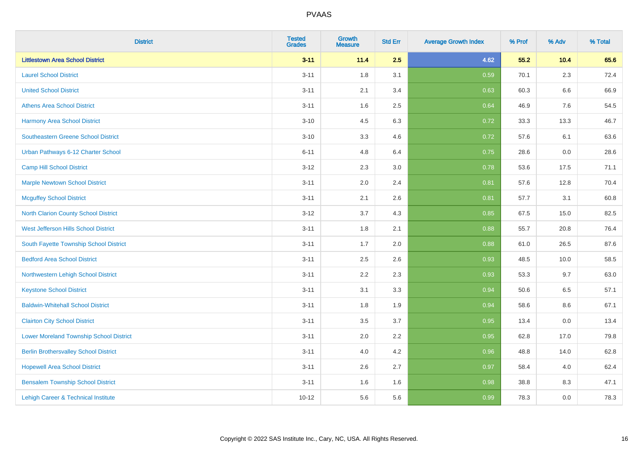| <b>District</b>                                | <b>Tested</b><br><b>Grades</b> | <b>Growth</b><br><b>Measure</b> | <b>Std Err</b> | <b>Average Growth Index</b> | % Prof | % Adv   | % Total |
|------------------------------------------------|--------------------------------|---------------------------------|----------------|-----------------------------|--------|---------|---------|
| <b>Littlestown Area School District</b>        | $3 - 11$                       | 11.4                            | 2.5            | 4.62                        | 55.2   | 10.4    | 65.6    |
| <b>Laurel School District</b>                  | $3 - 11$                       | 1.8                             | 3.1            | 0.59                        | 70.1   | $2.3\,$ | 72.4    |
| <b>United School District</b>                  | $3 - 11$                       | 2.1                             | 3.4            | 0.63                        | 60.3   | 6.6     | 66.9    |
| <b>Athens Area School District</b>             | $3 - 11$                       | 1.6                             | 2.5            | 0.64                        | 46.9   | 7.6     | 54.5    |
| <b>Harmony Area School District</b>            | $3 - 10$                       | 4.5                             | 6.3            | 0.72                        | 33.3   | 13.3    | 46.7    |
| <b>Southeastern Greene School District</b>     | $3 - 10$                       | 3.3                             | 4.6            | 0.72                        | 57.6   | 6.1     | 63.6    |
| Urban Pathways 6-12 Charter School             | $6 - 11$                       | 4.8                             | 6.4            | 0.75                        | 28.6   | 0.0     | 28.6    |
| <b>Camp Hill School District</b>               | $3 - 12$                       | 2.3                             | 3.0            | 0.78                        | 53.6   | 17.5    | 71.1    |
| <b>Marple Newtown School District</b>          | $3 - 11$                       | 2.0                             | 2.4            | 0.81                        | 57.6   | 12.8    | 70.4    |
| <b>Mcguffey School District</b>                | $3 - 11$                       | 2.1                             | 2.6            | 0.81                        | 57.7   | 3.1     | 60.8    |
| North Clarion County School District           | $3 - 12$                       | 3.7                             | 4.3            | 0.85                        | 67.5   | 15.0    | 82.5    |
| <b>West Jefferson Hills School District</b>    | $3 - 11$                       | 1.8                             | 2.1            | 0.88                        | 55.7   | 20.8    | 76.4    |
| South Fayette Township School District         | $3 - 11$                       | 1.7                             | 2.0            | 0.88                        | 61.0   | 26.5    | 87.6    |
| <b>Bedford Area School District</b>            | $3 - 11$                       | 2.5                             | 2.6            | 0.93                        | 48.5   | 10.0    | 58.5    |
| Northwestern Lehigh School District            | $3 - 11$                       | 2.2                             | 2.3            | 0.93                        | 53.3   | 9.7     | 63.0    |
| <b>Keystone School District</b>                | $3 - 11$                       | 3.1                             | 3.3            | 0.94                        | 50.6   | 6.5     | 57.1    |
| <b>Baldwin-Whitehall School District</b>       | $3 - 11$                       | 1.8                             | 1.9            | 0.94                        | 58.6   | 8.6     | 67.1    |
| <b>Clairton City School District</b>           | $3 - 11$                       | 3.5                             | 3.7            | 0.95                        | 13.4   | 0.0     | 13.4    |
| <b>Lower Moreland Township School District</b> | $3 - 11$                       | 2.0                             | 2.2            | 0.95                        | 62.8   | 17.0    | 79.8    |
| <b>Berlin Brothersvalley School District</b>   | $3 - 11$                       | 4.0                             | 4.2            | 0.96                        | 48.8   | 14.0    | 62.8    |
| <b>Hopewell Area School District</b>           | $3 - 11$                       | 2.6                             | 2.7            | 0.97                        | 58.4   | 4.0     | 62.4    |
| <b>Bensalem Township School District</b>       | $3 - 11$                       | 1.6                             | 1.6            | 0.98                        | 38.8   | 8.3     | 47.1    |
| Lehigh Career & Technical Institute            | $10 - 12$                      | 5.6                             | 5.6            | 0.99                        | 78.3   | 0.0     | 78.3    |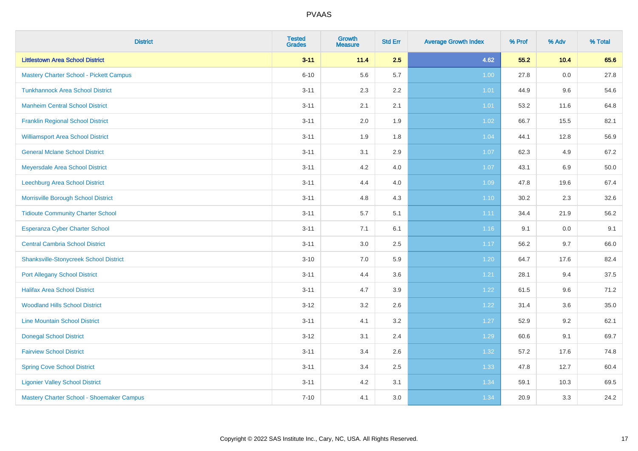| <b>District</b>                                | <b>Tested</b><br><b>Grades</b> | <b>Growth</b><br><b>Measure</b> | <b>Std Err</b> | <b>Average Growth Index</b> | % Prof | % Adv | % Total |
|------------------------------------------------|--------------------------------|---------------------------------|----------------|-----------------------------|--------|-------|---------|
| <b>Littlestown Area School District</b>        | $3 - 11$                       | 11.4                            | 2.5            | 4.62                        | 55.2   | 10.4  | 65.6    |
| <b>Mastery Charter School - Pickett Campus</b> | $6 - 10$                       | 5.6                             | 5.7            | 1.00                        | 27.8   | 0.0   | 27.8    |
| <b>Tunkhannock Area School District</b>        | $3 - 11$                       | 2.3                             | 2.2            | 1.01                        | 44.9   | 9.6   | 54.6    |
| <b>Manheim Central School District</b>         | $3 - 11$                       | 2.1                             | 2.1            | 1.01                        | 53.2   | 11.6  | 64.8    |
| <b>Franklin Regional School District</b>       | $3 - 11$                       | 2.0                             | 1.9            | 1.02                        | 66.7   | 15.5  | 82.1    |
| <b>Williamsport Area School District</b>       | $3 - 11$                       | 1.9                             | 1.8            | 1.04                        | 44.1   | 12.8  | 56.9    |
| <b>General Mclane School District</b>          | $3 - 11$                       | 3.1                             | 2.9            | 1.07                        | 62.3   | 4.9   | 67.2    |
| Meyersdale Area School District                | $3 - 11$                       | 4.2                             | 4.0            | 1.07                        | 43.1   | 6.9   | 50.0    |
| Leechburg Area School District                 | $3 - 11$                       | 4.4                             | 4.0            | 1.09                        | 47.8   | 19.6  | 67.4    |
| Morrisville Borough School District            | $3 - 11$                       | 4.8                             | 4.3            | 1.10                        | 30.2   | 2.3   | 32.6    |
| <b>Tidioute Community Charter School</b>       | $3 - 11$                       | 5.7                             | 5.1            | 1.11                        | 34.4   | 21.9  | 56.2    |
| Esperanza Cyber Charter School                 | $3 - 11$                       | 7.1                             | 6.1            | 1.16                        | 9.1    | 0.0   | 9.1     |
| <b>Central Cambria School District</b>         | $3 - 11$                       | 3.0                             | 2.5            | 1.17                        | 56.2   | 9.7   | 66.0    |
| <b>Shanksville-Stonycreek School District</b>  | $3 - 10$                       | 7.0                             | 5.9            | 1.20                        | 64.7   | 17.6  | 82.4    |
| <b>Port Allegany School District</b>           | $3 - 11$                       | 4.4                             | 3.6            | 1.21                        | 28.1   | 9.4   | 37.5    |
| <b>Halifax Area School District</b>            | $3 - 11$                       | 4.7                             | 3.9            | 1.22                        | 61.5   | 9.6   | 71.2    |
| <b>Woodland Hills School District</b>          | $3 - 12$                       | 3.2                             | 2.6            | 1.22                        | 31.4   | 3.6   | 35.0    |
| <b>Line Mountain School District</b>           | $3 - 11$                       | 4.1                             | 3.2            | 1.27                        | 52.9   | 9.2   | 62.1    |
| <b>Donegal School District</b>                 | $3 - 12$                       | 3.1                             | 2.4            | 1.29                        | 60.6   | 9.1   | 69.7    |
| <b>Fairview School District</b>                | $3 - 11$                       | 3.4                             | 2.6            | 1.32                        | 57.2   | 17.6  | 74.8    |
| <b>Spring Cove School District</b>             | $3 - 11$                       | 3.4                             | 2.5            | 1.33                        | 47.8   | 12.7  | 60.4    |
| <b>Ligonier Valley School District</b>         | $3 - 11$                       | 4.2                             | 3.1            | 1.34                        | 59.1   | 10.3  | 69.5    |
| Mastery Charter School - Shoemaker Campus      | $7 - 10$                       | 4.1                             | 3.0            | 1.34                        | 20.9   | 3.3   | 24.2    |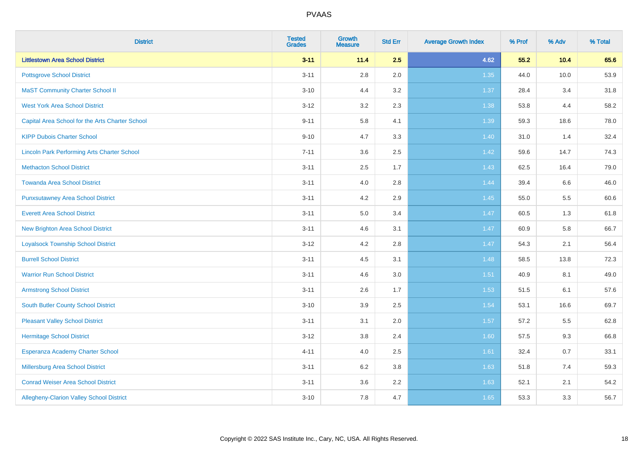| <b>District</b>                                    | <b>Tested</b><br><b>Grades</b> | <b>Growth</b><br><b>Measure</b> | <b>Std Err</b> | <b>Average Growth Index</b> | % Prof | % Adv | % Total |
|----------------------------------------------------|--------------------------------|---------------------------------|----------------|-----------------------------|--------|-------|---------|
| <b>Littlestown Area School District</b>            | $3 - 11$                       | 11.4                            | 2.5            | 4.62                        | 55.2   | 10.4  | 65.6    |
| <b>Pottsgrove School District</b>                  | $3 - 11$                       | $2.8\,$                         | 2.0            | 1.35                        | 44.0   | 10.0  | 53.9    |
| <b>MaST Community Charter School II</b>            | $3 - 10$                       | 4.4                             | 3.2            | 1.37                        | 28.4   | 3.4   | 31.8    |
| <b>West York Area School District</b>              | $3 - 12$                       | 3.2                             | 2.3            | 1.38                        | 53.8   | 4.4   | 58.2    |
| Capital Area School for the Arts Charter School    | $9 - 11$                       | 5.8                             | 4.1            | 1.39                        | 59.3   | 18.6  | 78.0    |
| <b>KIPP Dubois Charter School</b>                  | $9 - 10$                       | 4.7                             | 3.3            | 1.40                        | 31.0   | 1.4   | 32.4    |
| <b>Lincoln Park Performing Arts Charter School</b> | $7 - 11$                       | 3.6                             | 2.5            | 1.42                        | 59.6   | 14.7  | 74.3    |
| <b>Methacton School District</b>                   | $3 - 11$                       | 2.5                             | 1.7            | 1.43                        | 62.5   | 16.4  | 79.0    |
| <b>Towanda Area School District</b>                | $3 - 11$                       | 4.0                             | 2.8            | 1.44                        | 39.4   | 6.6   | 46.0    |
| <b>Punxsutawney Area School District</b>           | $3 - 11$                       | 4.2                             | 2.9            | $1.45$                      | 55.0   | 5.5   | 60.6    |
| <b>Everett Area School District</b>                | $3 - 11$                       | 5.0                             | 3.4            | 1.47                        | 60.5   | 1.3   | 61.8    |
| <b>New Brighton Area School District</b>           | $3 - 11$                       | 4.6                             | 3.1            | $1.47$                      | 60.9   | 5.8   | 66.7    |
| <b>Loyalsock Township School District</b>          | $3 - 12$                       | 4.2                             | 2.8            | 1.47                        | 54.3   | 2.1   | 56.4    |
| <b>Burrell School District</b>                     | $3 - 11$                       | 4.5                             | 3.1            | 1.48                        | 58.5   | 13.8  | 72.3    |
| <b>Warrior Run School District</b>                 | $3 - 11$                       | 4.6                             | 3.0            | 1.51                        | 40.9   | 8.1   | 49.0    |
| <b>Armstrong School District</b>                   | $3 - 11$                       | 2.6                             | 1.7            | 1.53                        | 51.5   | 6.1   | 57.6    |
| <b>South Butler County School District</b>         | $3 - 10$                       | 3.9                             | 2.5            | 1.54                        | 53.1   | 16.6  | 69.7    |
| <b>Pleasant Valley School District</b>             | $3 - 11$                       | 3.1                             | 2.0            | 1.57                        | 57.2   | 5.5   | 62.8    |
| <b>Hermitage School District</b>                   | $3 - 12$                       | $3.8\,$                         | 2.4            | 1.60                        | 57.5   | 9.3   | 66.8    |
| Esperanza Academy Charter School                   | $4 - 11$                       | 4.0                             | 2.5            | 1.61                        | 32.4   | 0.7   | 33.1    |
| Millersburg Area School District                   | $3 - 11$                       | 6.2                             | 3.8            | 1.63                        | 51.8   | 7.4   | 59.3    |
| <b>Conrad Weiser Area School District</b>          | $3 - 11$                       | 3.6                             | 2.2            | 1.63                        | 52.1   | 2.1   | 54.2    |
| Allegheny-Clarion Valley School District           | $3 - 10$                       | 7.8                             | 4.7            | 1.65                        | 53.3   | 3.3   | 56.7    |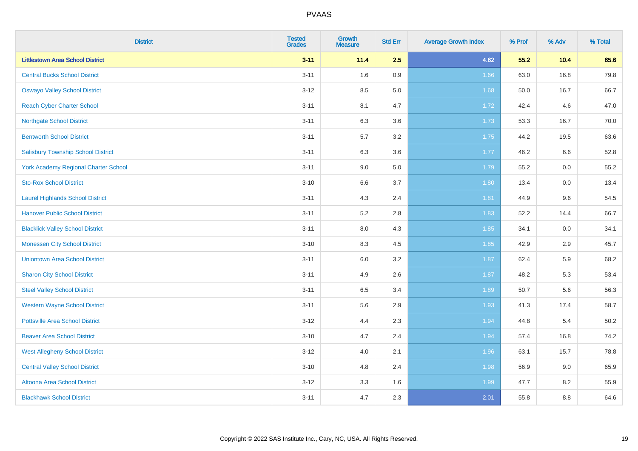| <b>District</b>                           | <b>Tested</b><br><b>Grades</b> | <b>Growth</b><br><b>Measure</b> | <b>Std Err</b> | <b>Average Growth Index</b> | % Prof | % Adv | % Total |
|-------------------------------------------|--------------------------------|---------------------------------|----------------|-----------------------------|--------|-------|---------|
| <b>Littlestown Area School District</b>   | $3 - 11$                       | 11.4                            | 2.5            | 4.62                        | 55.2   | 10.4  | 65.6    |
| <b>Central Bucks School District</b>      | $3 - 11$                       | 1.6                             | 0.9            | 1.66                        | 63.0   | 16.8  | 79.8    |
| <b>Oswayo Valley School District</b>      | $3 - 12$                       | 8.5                             | 5.0            | 1.68                        | 50.0   | 16.7  | 66.7    |
| <b>Reach Cyber Charter School</b>         | $3 - 11$                       | 8.1                             | 4.7            | 1.72                        | 42.4   | 4.6   | 47.0    |
| <b>Northgate School District</b>          | $3 - 11$                       | 6.3                             | 3.6            | 1.73                        | 53.3   | 16.7  | 70.0    |
| <b>Bentworth School District</b>          | $3 - 11$                       | 5.7                             | 3.2            | 1.75                        | 44.2   | 19.5  | 63.6    |
| <b>Salisbury Township School District</b> | $3 - 11$                       | 6.3                             | 3.6            | 1.77                        | 46.2   | 6.6   | 52.8    |
| York Academy Regional Charter School      | $3 - 11$                       | 9.0                             | 5.0            | 1.79                        | 55.2   | 0.0   | 55.2    |
| <b>Sto-Rox School District</b>            | $3 - 10$                       | $6.6\,$                         | 3.7            | 1.80                        | 13.4   | 0.0   | 13.4    |
| <b>Laurel Highlands School District</b>   | $3 - 11$                       | 4.3                             | 2.4            | 1.81                        | 44.9   | 9.6   | 54.5    |
| <b>Hanover Public School District</b>     | $3 - 11$                       | 5.2                             | 2.8            | 1.83                        | 52.2   | 14.4  | 66.7    |
| <b>Blacklick Valley School District</b>   | $3 - 11$                       | 8.0                             | 4.3            | 1.85                        | 34.1   | 0.0   | 34.1    |
| <b>Monessen City School District</b>      | $3 - 10$                       | 8.3                             | 4.5            | 1.85                        | 42.9   | 2.9   | 45.7    |
| <b>Uniontown Area School District</b>     | $3 - 11$                       | 6.0                             | 3.2            | 1.87                        | 62.4   | 5.9   | 68.2    |
| <b>Sharon City School District</b>        | $3 - 11$                       | 4.9                             | 2.6            | 1.87                        | 48.2   | 5.3   | 53.4    |
| <b>Steel Valley School District</b>       | $3 - 11$                       | 6.5                             | 3.4            | 1.89                        | 50.7   | 5.6   | 56.3    |
| <b>Western Wayne School District</b>      | $3 - 11$                       | 5.6                             | 2.9            | 1.93                        | 41.3   | 17.4  | 58.7    |
| <b>Pottsville Area School District</b>    | $3 - 12$                       | 4.4                             | 2.3            | 1.94                        | 44.8   | 5.4   | 50.2    |
| <b>Beaver Area School District</b>        | $3 - 10$                       | 4.7                             | 2.4            | 1.94                        | 57.4   | 16.8  | 74.2    |
| <b>West Allegheny School District</b>     | $3 - 12$                       | 4.0                             | 2.1            | 1.96                        | 63.1   | 15.7  | 78.8    |
| <b>Central Valley School District</b>     | $3 - 10$                       | 4.8                             | 2.4            | 1.98                        | 56.9   | 9.0   | 65.9    |
| Altoona Area School District              | $3 - 12$                       | 3.3                             | 1.6            | 1.99                        | 47.7   | 8.2   | 55.9    |
| <b>Blackhawk School District</b>          | $3 - 11$                       | 4.7                             | 2.3            | 2.01                        | 55.8   | 8.8   | 64.6    |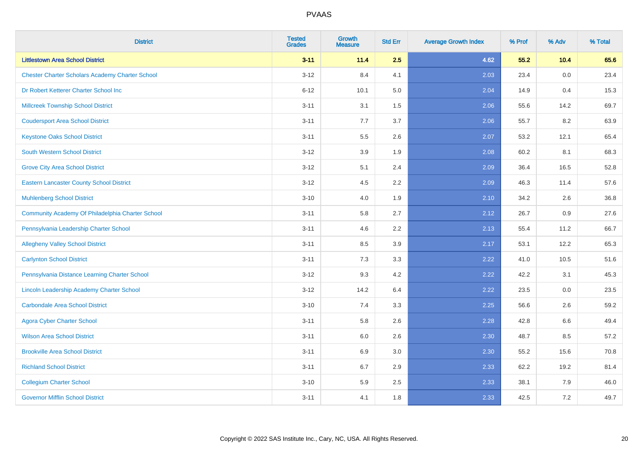| <b>District</b>                                        | <b>Tested</b><br><b>Grades</b> | <b>Growth</b><br><b>Measure</b> | <b>Std Err</b> | <b>Average Growth Index</b> | % Prof | % Adv | % Total |
|--------------------------------------------------------|--------------------------------|---------------------------------|----------------|-----------------------------|--------|-------|---------|
| <b>Littlestown Area School District</b>                | $3 - 11$                       | 11.4                            | 2.5            | 4.62                        | 55.2   | 10.4  | 65.6    |
| <b>Chester Charter Scholars Academy Charter School</b> | $3 - 12$                       | 8.4                             | 4.1            | 2.03                        | 23.4   | 0.0   | 23.4    |
| Dr Robert Ketterer Charter School Inc                  | $6 - 12$                       | 10.1                            | 5.0            | 2.04                        | 14.9   | 0.4   | 15.3    |
| <b>Millcreek Township School District</b>              | $3 - 11$                       | 3.1                             | 1.5            | 2.06                        | 55.6   | 14.2  | 69.7    |
| <b>Coudersport Area School District</b>                | $3 - 11$                       | 7.7                             | 3.7            | 2.06                        | 55.7   | 8.2   | 63.9    |
| <b>Keystone Oaks School District</b>                   | $3 - 11$                       | 5.5                             | 2.6            | 2.07                        | 53.2   | 12.1  | 65.4    |
| <b>South Western School District</b>                   | $3 - 12$                       | 3.9                             | 1.9            | 2.08                        | 60.2   | 8.1   | 68.3    |
| <b>Grove City Area School District</b>                 | $3 - 12$                       | 5.1                             | 2.4            | 2.09                        | 36.4   | 16.5  | 52.8    |
| <b>Eastern Lancaster County School District</b>        | $3 - 12$                       | 4.5                             | 2.2            | 2.09                        | 46.3   | 11.4  | 57.6    |
| <b>Muhlenberg School District</b>                      | $3 - 10$                       | 4.0                             | 1.9            | 2.10                        | 34.2   | 2.6   | 36.8    |
| Community Academy Of Philadelphia Charter School       | $3 - 11$                       | 5.8                             | 2.7            | 2.12                        | 26.7   | 0.9   | 27.6    |
| Pennsylvania Leadership Charter School                 | $3 - 11$                       | 4.6                             | 2.2            | 2.13                        | 55.4   | 11.2  | 66.7    |
| <b>Allegheny Valley School District</b>                | $3 - 11$                       | 8.5                             | 3.9            | 2.17                        | 53.1   | 12.2  | 65.3    |
| <b>Carlynton School District</b>                       | $3 - 11$                       | 7.3                             | 3.3            | 2.22                        | 41.0   | 10.5  | 51.6    |
| Pennsylvania Distance Learning Charter School          | $3 - 12$                       | 9.3                             | 4.2            | 2.22                        | 42.2   | 3.1   | 45.3    |
| Lincoln Leadership Academy Charter School              | $3 - 12$                       | 14.2                            | 6.4            | 2.22                        | 23.5   | 0.0   | 23.5    |
| <b>Carbondale Area School District</b>                 | $3 - 10$                       | 7.4                             | 3.3            | 2.25                        | 56.6   | 2.6   | 59.2    |
| <b>Agora Cyber Charter School</b>                      | $3 - 11$                       | 5.8                             | 2.6            | 2.28                        | 42.8   | 6.6   | 49.4    |
| <b>Wilson Area School District</b>                     | $3 - 11$                       | 6.0                             | 2.6            | 2.30                        | 48.7   | 8.5   | 57.2    |
| <b>Brookville Area School District</b>                 | $3 - 11$                       | 6.9                             | 3.0            | 2.30                        | 55.2   | 15.6  | 70.8    |
| <b>Richland School District</b>                        | $3 - 11$                       | 6.7                             | 2.9            | 2.33                        | 62.2   | 19.2  | 81.4    |
| <b>Collegium Charter School</b>                        | $3 - 10$                       | 5.9                             | 2.5            | 2.33                        | 38.1   | 7.9   | 46.0    |
| <b>Governor Mifflin School District</b>                | $3 - 11$                       | 4.1                             | 1.8            | 2.33                        | 42.5   | 7.2   | 49.7    |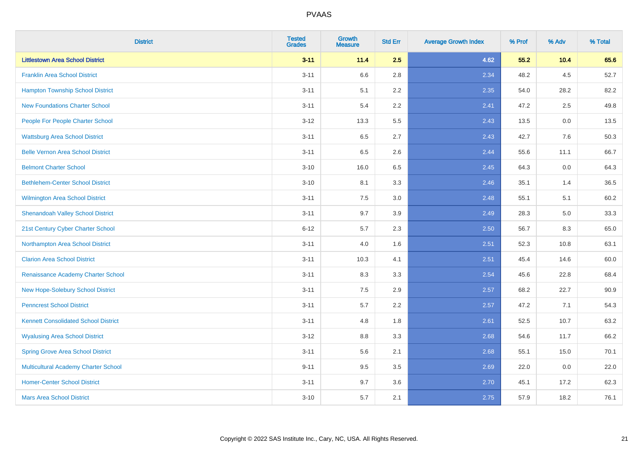| <b>District</b>                             | <b>Tested</b><br><b>Grades</b> | <b>Growth</b><br><b>Measure</b> | <b>Std Err</b> | <b>Average Growth Index</b> | % Prof | % Adv  | % Total |
|---------------------------------------------|--------------------------------|---------------------------------|----------------|-----------------------------|--------|--------|---------|
| <b>Littlestown Area School District</b>     | $3 - 11$                       | 11.4                            | 2.5            | 4.62                        | 55.2   | $10.4$ | 65.6    |
| <b>Franklin Area School District</b>        | $3 - 11$                       | 6.6                             | 2.8            | 2.34                        | 48.2   | 4.5    | 52.7    |
| <b>Hampton Township School District</b>     | $3 - 11$                       | 5.1                             | 2.2            | 2.35                        | 54.0   | 28.2   | 82.2    |
| <b>New Foundations Charter School</b>       | $3 - 11$                       | 5.4                             | 2.2            | 2.41                        | 47.2   | 2.5    | 49.8    |
| People For People Charter School            | $3 - 12$                       | 13.3                            | 5.5            | 2.43                        | 13.5   | 0.0    | 13.5    |
| <b>Wattsburg Area School District</b>       | $3 - 11$                       | 6.5                             | 2.7            | 2.43                        | 42.7   | 7.6    | 50.3    |
| <b>Belle Vernon Area School District</b>    | $3 - 11$                       | 6.5                             | 2.6            | 2.44                        | 55.6   | 11.1   | 66.7    |
| <b>Belmont Charter School</b>               | $3 - 10$                       | 16.0                            | 6.5            | 2.45                        | 64.3   | 0.0    | 64.3    |
| <b>Bethlehem-Center School District</b>     | $3 - 10$                       | 8.1                             | 3.3            | 2.46                        | 35.1   | 1.4    | 36.5    |
| <b>Wilmington Area School District</b>      | $3 - 11$                       | 7.5                             | 3.0            | 2.48                        | 55.1   | 5.1    | 60.2    |
| <b>Shenandoah Valley School District</b>    | $3 - 11$                       | 9.7                             | 3.9            | 2.49                        | 28.3   | 5.0    | 33.3    |
| 21st Century Cyber Charter School           | $6 - 12$                       | 5.7                             | 2.3            | 2.50                        | 56.7   | 8.3    | 65.0    |
| Northampton Area School District            | $3 - 11$                       | 4.0                             | 1.6            | 2.51                        | 52.3   | 10.8   | 63.1    |
| <b>Clarion Area School District</b>         | $3 - 11$                       | 10.3                            | 4.1            | 2.51                        | 45.4   | 14.6   | 60.0    |
| Renaissance Academy Charter School          | $3 - 11$                       | 8.3                             | 3.3            | 2.54                        | 45.6   | 22.8   | 68.4    |
| New Hope-Solebury School District           | $3 - 11$                       | $7.5\,$                         | 2.9            | 2.57                        | 68.2   | 22.7   | 90.9    |
| <b>Penncrest School District</b>            | $3 - 11$                       | 5.7                             | 2.2            | 2.57                        | 47.2   | 7.1    | 54.3    |
| <b>Kennett Consolidated School District</b> | $3 - 11$                       | 4.8                             | 1.8            | 2.61                        | 52.5   | 10.7   | 63.2    |
| <b>Wyalusing Area School District</b>       | $3 - 12$                       | $8.8\,$                         | 3.3            | 2.68                        | 54.6   | 11.7   | 66.2    |
| <b>Spring Grove Area School District</b>    | $3 - 11$                       | 5.6                             | 2.1            | 2.68                        | 55.1   | 15.0   | 70.1    |
| <b>Multicultural Academy Charter School</b> | $9 - 11$                       | 9.5                             | 3.5            | 2.69                        | 22.0   | 0.0    | 22.0    |
| <b>Homer-Center School District</b>         | $3 - 11$                       | 9.7                             | 3.6            | 2.70                        | 45.1   | 17.2   | 62.3    |
| <b>Mars Area School District</b>            | $3 - 10$                       | 5.7                             | 2.1            | 2.75                        | 57.9   | 18.2   | 76.1    |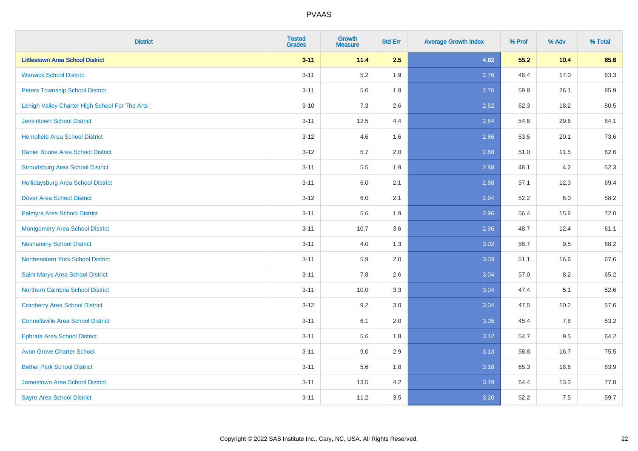| <b>District</b>                                | <b>Tested</b><br><b>Grades</b> | <b>Growth</b><br><b>Measure</b> | <b>Std Err</b> | <b>Average Growth Index</b> | % Prof | % Adv | % Total |
|------------------------------------------------|--------------------------------|---------------------------------|----------------|-----------------------------|--------|-------|---------|
| <b>Littlestown Area School District</b>        | $3 - 11$                       | 11.4                            | 2.5            | 4.62                        | 55.2   | 10.4  | 65.6    |
| <b>Warwick School District</b>                 | $3 - 11$                       | 5.2                             | 1.9            | 2.76                        | 46.4   | 17.0  | 63.3    |
| <b>Peters Township School District</b>         | $3 - 11$                       | 5.0                             | 1.8            | 2.76                        | 59.8   | 26.1  | 85.9    |
| Lehigh Valley Charter High School For The Arts | $9 - 10$                       | 7.3                             | 2.6            | 2.82                        | 62.3   | 18.2  | 80.5    |
| <b>Jenkintown School District</b>              | $3 - 11$                       | 12.5                            | 4.4            | 2.84                        | 54.6   | 29.6  | 84.1    |
| <b>Hempfield Area School District</b>          | $3 - 12$                       | 4.6                             | 1.6            | 2.86                        | 53.5   | 20.1  | 73.6    |
| Daniel Boone Area School District              | $3 - 12$                       | 5.7                             | 2.0            | 2.88                        | 51.0   | 11.5  | 62.6    |
| <b>Stroudsburg Area School District</b>        | $3 - 11$                       | $5.5\,$                         | 1.9            | 2.88                        | 48.1   | 4.2   | 52.3    |
| <b>Hollidaysburg Area School District</b>      | $3 - 11$                       | 6.0                             | 2.1            | 2.88                        | 57.1   | 12.3  | 69.4    |
| <b>Dover Area School District</b>              | $3 - 12$                       | 6.0                             | 2.1            | 2.94                        | 52.2   | 6.0   | 58.2    |
| Palmyra Area School District                   | $3 - 11$                       | 5.6                             | 1.9            | 2.96                        | 56.4   | 15.6  | 72.0    |
| Montgomery Area School District                | $3 - 11$                       | 10.7                            | 3.6            | 2.96                        | 48.7   | 12.4  | 61.1    |
| <b>Neshaminy School District</b>               | $3 - 11$                       | 4.0                             | 1.3            | 3.02                        | 58.7   | 9.5   | 68.2    |
| Northeastern York School District              | $3 - 11$                       | 5.9                             | 2.0            | 3.03                        | 51.1   | 16.6  | 67.6    |
| Saint Marys Area School District               | $3 - 11$                       | 7.8                             | 2.6            | 3.04                        | 57.0   | 8.2   | 65.2    |
| <b>Northern Cambria School District</b>        | $3 - 11$                       | 10.0                            | 3.3            | 3.04                        | 47.4   | 5.1   | 52.6    |
| <b>Cranberry Area School District</b>          | $3 - 12$                       | 9.2                             | 3.0            | 3.04                        | 47.5   | 10.2  | 57.6    |
| <b>Connellsville Area School District</b>      | $3 - 11$                       | 6.1                             | 2.0            | 3.05                        | 45.4   | 7.8   | 53.2    |
| <b>Ephrata Area School District</b>            | $3 - 11$                       | 5.6                             | 1.8            | 3.12                        | 54.7   | 9.5   | 64.2    |
| <b>Avon Grove Charter School</b>               | $3 - 11$                       | 9.0                             | 2.9            | 3.13                        | 58.8   | 16.7  | 75.5    |
| <b>Bethel Park School District</b>             | $3 - 11$                       | 5.6                             | 1.8            | 3.18                        | 65.3   | 18.6  | 83.9    |
| <b>Jamestown Area School District</b>          | $3 - 11$                       | 13.5                            | 4.2            | 3.19                        | 64.4   | 13.3  | 77.8    |
| <b>Sayre Area School District</b>              | $3 - 11$                       | 11.2                            | 3.5            | 3.20                        | 52.2   | 7.5   | 59.7    |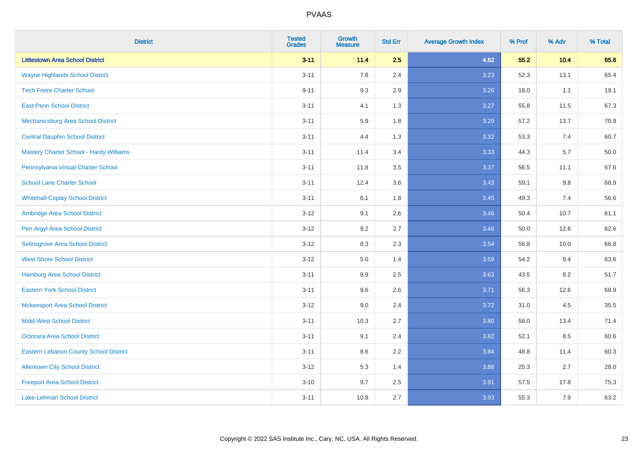| <b>District</b>                                | <b>Tested</b><br><b>Grades</b> | <b>Growth</b><br><b>Measure</b> | <b>Std Err</b> | <b>Average Growth Index</b> | % Prof | % Adv | % Total |
|------------------------------------------------|--------------------------------|---------------------------------|----------------|-----------------------------|--------|-------|---------|
| <b>Littlestown Area School District</b>        | $3 - 11$                       | 11.4                            | 2.5            | 4.62                        | 55.2   | 10.4  | 65.6    |
| <b>Wayne Highlands School District</b>         | $3 - 11$                       | 7.8                             | 2.4            | 3.23                        | 52.3   | 13.1  | 65.4    |
| <b>Tech Freire Charter School</b>              | $9 - 11$                       | 9.3                             | 2.9            | 3.26                        | 18.0   | 1.1   | 19.1    |
| <b>East Penn School District</b>               | $3 - 11$                       | 4.1                             | 1.3            | 3.27                        | 55.8   | 11.5  | 67.3    |
| Mechanicsburg Area School District             | $3 - 11$                       | 5.9                             | 1.8            | 3.29                        | 57.2   | 13.7  | 70.9    |
| <b>Central Dauphin School District</b>         | $3 - 11$                       | 4.4                             | 1.3            | 3.32                        | 53.3   | 7.4   | 60.7    |
| <b>Mastery Charter School - Hardy Williams</b> | $3 - 11$                       | 11.4                            | 3.4            | 3.33                        | 44.3   | 5.7   | 50.0    |
| Pennsylvania Virtual Charter School            | $3 - 11$                       | 11.8                            | 3.5            | 3.37                        | 56.5   | 11.1  | 67.6    |
| <b>School Lane Charter School</b>              | $3 - 11$                       | 12.4                            | 3.6            | 3.43                        | 59.1   | 9.8   | 68.9    |
| <b>Whitehall-Coplay School District</b>        | $3 - 11$                       | 6.1                             | 1.8            | 3.45                        | 49.3   | 7.4   | 56.6    |
| Ambridge Area School District                  | $3 - 12$                       | 9.1                             | 2.6            | 3.46                        | 50.4   | 10.7  | 61.1    |
| Pen Argyl Area School District                 | $3 - 12$                       | 9.2                             | 2.7            | 3.46                        | 50.0   | 12.6  | 62.6    |
| Selinsgrove Area School District               | $3 - 12$                       | 8.3                             | 2.3            | 3.54                        | 56.8   | 10.0  | 66.8    |
| <b>West Shore School District</b>              | $3 - 12$                       | 5.0                             | 1.4            | 3.59                        | 54.2   | 9.4   | 63.6    |
| <b>Hamburg Area School District</b>            | $3 - 11$                       | 8.9                             | 2.5            | 3.63                        | 43.5   | 8.2   | 51.7    |
| <b>Eastern York School District</b>            | $3 - 11$                       | 9.6                             | 2.6            | 3.71                        | 56.3   | 12.6  | 68.9    |
| <b>Mckeesport Area School District</b>         | $3 - 12$                       | 9.0                             | 2.4            | 3.72                        | 31.0   | 4.5   | 35.5    |
| <b>Midd-West School District</b>               | $3 - 11$                       | 10.3                            | 2.7            | 3.80                        | 58.0   | 13.4  | 71.4    |
| <b>Octorara Area School District</b>           | $3 - 11$                       | 9.1                             | 2.4            | 3.82                        | 52.1   | 8.5   | 60.6    |
| <b>Eastern Lebanon County School District</b>  | $3 - 11$                       | 8.6                             | 2.2            | 3.84                        | 48.8   | 11.4  | 60.3    |
| <b>Allentown City School District</b>          | $3 - 12$                       | 5.3                             | 1.4            | 3.88                        | 25.3   | 2.7   | 28.0    |
| <b>Freeport Area School District</b>           | $3 - 10$                       | 9.7                             | 2.5            | 3.91                        | 57.5   | 17.8  | 75.3    |
| <b>Lake-Lehman School District</b>             | $3 - 11$                       | 10.8                            | 2.7            | 3.93                        | 55.3   | 7.9   | 63.2    |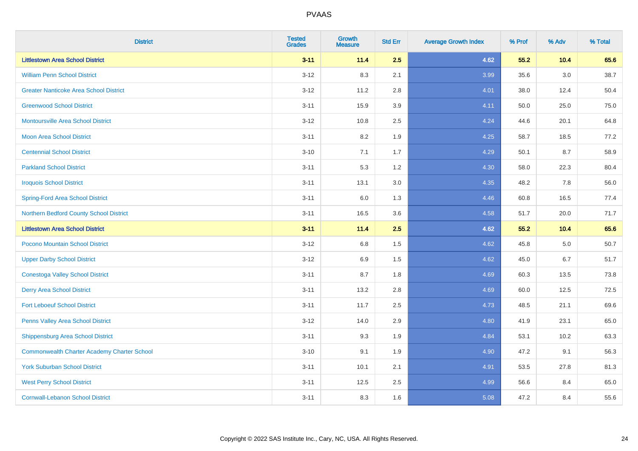| <b>District</b>                                    | <b>Tested</b><br><b>Grades</b> | <b>Growth</b><br><b>Measure</b> | <b>Std Err</b> | <b>Average Growth Index</b> | % Prof | % Adv   | % Total |
|----------------------------------------------------|--------------------------------|---------------------------------|----------------|-----------------------------|--------|---------|---------|
| <b>Littlestown Area School District</b>            | $3 - 11$                       | 11.4                            | 2.5            | 4.62                        | 55.2   | 10.4    | 65.6    |
| <b>William Penn School District</b>                | $3 - 12$                       | 8.3                             | 2.1            | 3.99                        | 35.6   | $3.0\,$ | 38.7    |
| <b>Greater Nanticoke Area School District</b>      | $3 - 12$                       | 11.2                            | 2.8            | 4.01                        | 38.0   | 12.4    | 50.4    |
| <b>Greenwood School District</b>                   | $3 - 11$                       | 15.9                            | 3.9            | 4.11                        | 50.0   | 25.0    | 75.0    |
| <b>Montoursville Area School District</b>          | $3 - 12$                       | 10.8                            | 2.5            | 4.24                        | 44.6   | 20.1    | 64.8    |
| <b>Moon Area School District</b>                   | $3 - 11$                       | 8.2                             | 1.9            | 4.25                        | 58.7   | 18.5    | 77.2    |
| <b>Centennial School District</b>                  | $3 - 10$                       | 7.1                             | 1.7            | 4.29                        | 50.1   | 8.7     | 58.9    |
| <b>Parkland School District</b>                    | $3 - 11$                       | 5.3                             | 1.2            | 4.30                        | 58.0   | 22.3    | 80.4    |
| <b>Iroquois School District</b>                    | $3 - 11$                       | 13.1                            | 3.0            | 4.35                        | 48.2   | 7.8     | 56.0    |
| <b>Spring-Ford Area School District</b>            | $3 - 11$                       | 6.0                             | 1.3            | 4.46                        | 60.8   | 16.5    | 77.4    |
| Northern Bedford County School District            | $3 - 11$                       | 16.5                            | 3.6            | 4.58                        | 51.7   | 20.0    | 71.7    |
| <b>Littlestown Area School District</b>            | $3 - 11$                       | 11.4                            | 2.5            | 4.62                        | 55.2   | 10.4    | 65.6    |
| Pocono Mountain School District                    | $3 - 12$                       | $6.8\,$                         | 1.5            | 4.62                        | 45.8   | $5.0\,$ | 50.7    |
| <b>Upper Darby School District</b>                 | $3 - 12$                       | 6.9                             | 1.5            | 4.62                        | 45.0   | 6.7     | 51.7    |
| <b>Conestoga Valley School District</b>            | $3 - 11$                       | 8.7                             | 1.8            | 4.69                        | 60.3   | 13.5    | 73.8    |
| <b>Derry Area School District</b>                  | $3 - 11$                       | 13.2                            | 2.8            | 4.69                        | 60.0   | 12.5    | 72.5    |
| <b>Fort Leboeuf School District</b>                | $3 - 11$                       | 11.7                            | 2.5            | 4.73                        | 48.5   | 21.1    | 69.6    |
| Penns Valley Area School District                  | $3 - 12$                       | 14.0                            | 2.9            | 4.80                        | 41.9   | 23.1    | 65.0    |
| Shippensburg Area School District                  | $3 - 11$                       | 9.3                             | 1.9            | 4.84                        | 53.1   | 10.2    | 63.3    |
| <b>Commonwealth Charter Academy Charter School</b> | $3 - 10$                       | 9.1                             | 1.9            | 4.90                        | 47.2   | 9.1     | 56.3    |
| <b>York Suburban School District</b>               | $3 - 11$                       | 10.1                            | 2.1            | 4.91                        | 53.5   | 27.8    | 81.3    |
| <b>West Perry School District</b>                  | $3 - 11$                       | 12.5                            | 2.5            | 4.99                        | 56.6   | 8.4     | 65.0    |
| <b>Cornwall-Lebanon School District</b>            | $3 - 11$                       | 8.3                             | 1.6            | 5.08                        | 47.2   | 8.4     | 55.6    |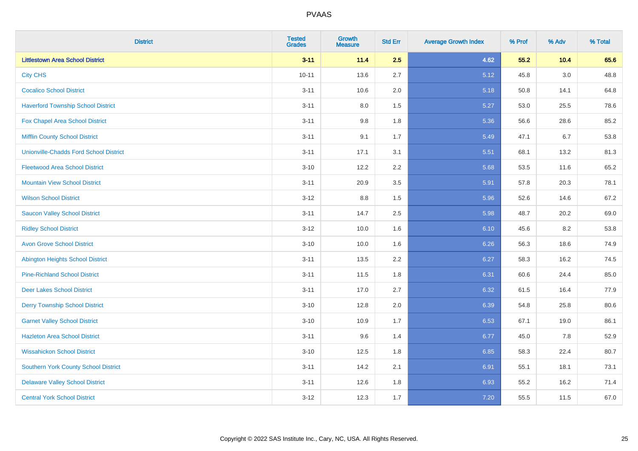| <b>District</b>                               | <b>Tested</b><br><b>Grades</b> | <b>Growth</b><br><b>Measure</b> | <b>Std Err</b> | <b>Average Growth Index</b> | % Prof | % Adv   | % Total |
|-----------------------------------------------|--------------------------------|---------------------------------|----------------|-----------------------------|--------|---------|---------|
| <b>Littlestown Area School District</b>       | $3 - 11$                       | 11.4                            | 2.5            | 4.62                        | 55.2   | 10.4    | 65.6    |
| <b>City CHS</b>                               | $10 - 11$                      | 13.6                            | 2.7            | 5.12                        | 45.8   | $3.0\,$ | 48.8    |
| <b>Cocalico School District</b>               | $3 - 11$                       | 10.6                            | 2.0            | 5.18                        | 50.8   | 14.1    | 64.8    |
| <b>Haverford Township School District</b>     | $3 - 11$                       | $8.0\,$                         | 1.5            | 5.27                        | 53.0   | 25.5    | 78.6    |
| Fox Chapel Area School District               | $3 - 11$                       | 9.8                             | 1.8            | 5.36                        | 56.6   | 28.6    | 85.2    |
| <b>Mifflin County School District</b>         | $3 - 11$                       | 9.1                             | 1.7            | 5.49                        | 47.1   | 6.7     | 53.8    |
| <b>Unionville-Chadds Ford School District</b> | $3 - 11$                       | 17.1                            | 3.1            | 5.51                        | 68.1   | 13.2    | 81.3    |
| <b>Fleetwood Area School District</b>         | $3 - 10$                       | 12.2                            | 2.2            | 5.68                        | 53.5   | 11.6    | 65.2    |
| <b>Mountain View School District</b>          | $3 - 11$                       | 20.9                            | 3.5            | 5.91                        | 57.8   | 20.3    | 78.1    |
| <b>Wilson School District</b>                 | $3 - 12$                       | 8.8                             | 1.5            | 5.96                        | 52.6   | 14.6    | 67.2    |
| <b>Saucon Valley School District</b>          | $3 - 11$                       | 14.7                            | 2.5            | 5.98                        | 48.7   | 20.2    | 69.0    |
| <b>Ridley School District</b>                 | $3-12$                         | 10.0                            | 1.6            | 6.10                        | 45.6   | 8.2     | 53.8    |
| <b>Avon Grove School District</b>             | $3 - 10$                       | 10.0                            | 1.6            | 6.26                        | 56.3   | 18.6    | 74.9    |
| <b>Abington Heights School District</b>       | $3 - 11$                       | 13.5                            | 2.2            | 6.27                        | 58.3   | 16.2    | 74.5    |
| <b>Pine-Richland School District</b>          | $3 - 11$                       | 11.5                            | 1.8            | 6.31                        | 60.6   | 24.4    | 85.0    |
| Deer Lakes School District                    | $3 - 11$                       | 17.0                            | 2.7            | 6.32                        | 61.5   | 16.4    | 77.9    |
| <b>Derry Township School District</b>         | $3 - 10$                       | 12.8                            | 2.0            | 6.39                        | 54.8   | 25.8    | 80.6    |
| <b>Garnet Valley School District</b>          | $3 - 10$                       | 10.9                            | 1.7            | 6.53                        | 67.1   | 19.0    | 86.1    |
| <b>Hazleton Area School District</b>          | $3 - 11$                       | 9.6                             | 1.4            | 6.77                        | 45.0   | 7.8     | 52.9    |
| <b>Wissahickon School District</b>            | $3 - 10$                       | 12.5                            | 1.8            | 6.85                        | 58.3   | 22.4    | 80.7    |
| <b>Southern York County School District</b>   | $3 - 11$                       | 14.2                            | 2.1            | 6.91                        | 55.1   | 18.1    | 73.1    |
| <b>Delaware Valley School District</b>        | $3 - 11$                       | 12.6                            | 1.8            | 6.93                        | 55.2   | 16.2    | 71.4    |
| <b>Central York School District</b>           | $3-12$                         | 12.3                            | 1.7            | 7.20                        | 55.5   | 11.5    | 67.0    |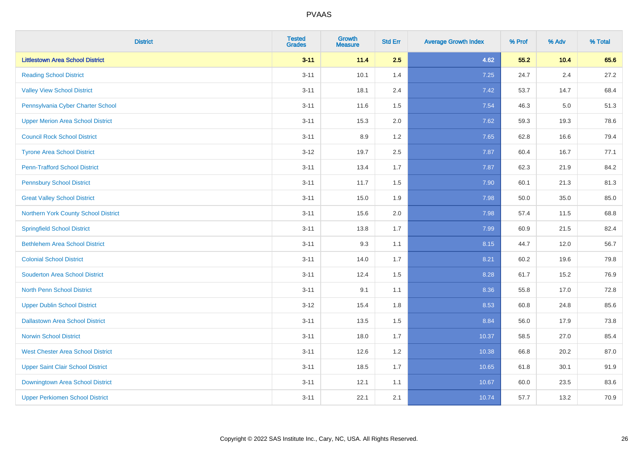| <b>District</b>                          | <b>Tested</b><br><b>Grades</b> | <b>Growth</b><br><b>Measure</b> | <b>Std Err</b> | <b>Average Growth Index</b> | % Prof | % Adv   | % Total |
|------------------------------------------|--------------------------------|---------------------------------|----------------|-----------------------------|--------|---------|---------|
| <b>Littlestown Area School District</b>  | $3 - 11$                       | 11.4                            | 2.5            | 4.62                        | 55.2   | 10.4    | 65.6    |
| <b>Reading School District</b>           | $3 - 11$                       | 10.1                            | 1.4            | 7.25                        | 24.7   | $2.4\,$ | 27.2    |
| <b>Valley View School District</b>       | $3 - 11$                       | 18.1                            | 2.4            | 7.42                        | 53.7   | 14.7    | 68.4    |
| Pennsylvania Cyber Charter School        | $3 - 11$                       | 11.6                            | 1.5            | 7.54                        | 46.3   | 5.0     | 51.3    |
| <b>Upper Merion Area School District</b> | $3 - 11$                       | 15.3                            | 2.0            | 7.62                        | 59.3   | 19.3    | 78.6    |
| <b>Council Rock School District</b>      | $3 - 11$                       | 8.9                             | 1.2            | 7.65                        | 62.8   | 16.6    | 79.4    |
| <b>Tyrone Area School District</b>       | $3 - 12$                       | 19.7                            | 2.5            | 7.87                        | 60.4   | 16.7    | 77.1    |
| <b>Penn-Trafford School District</b>     | $3 - 11$                       | 13.4                            | 1.7            | 7.87                        | 62.3   | 21.9    | 84.2    |
| <b>Pennsbury School District</b>         | $3 - 11$                       | 11.7                            | 1.5            | 7.90                        | 60.1   | 21.3    | 81.3    |
| <b>Great Valley School District</b>      | $3 - 11$                       | 15.0                            | 1.9            | 7.98                        | 50.0   | 35.0    | 85.0    |
| Northern York County School District     | $3 - 11$                       | 15.6                            | 2.0            | 7.98                        | 57.4   | 11.5    | 68.8    |
| <b>Springfield School District</b>       | $3 - 11$                       | 13.8                            | 1.7            | 7.99                        | 60.9   | 21.5    | 82.4    |
| <b>Bethlehem Area School District</b>    | $3 - 11$                       | 9.3                             | 1.1            | 8.15                        | 44.7   | 12.0    | 56.7    |
| <b>Colonial School District</b>          | $3 - 11$                       | 14.0                            | 1.7            | 8.21                        | 60.2   | 19.6    | 79.8    |
| <b>Souderton Area School District</b>    | $3 - 11$                       | 12.4                            | 1.5            | 8.28                        | 61.7   | 15.2    | 76.9    |
| <b>North Penn School District</b>        | $3 - 11$                       | 9.1                             | 1.1            | 8.36                        | 55.8   | 17.0    | 72.8    |
| <b>Upper Dublin School District</b>      | $3 - 12$                       | 15.4                            | 1.8            | 8.53                        | 60.8   | 24.8    | 85.6    |
| <b>Dallastown Area School District</b>   | $3 - 11$                       | 13.5                            | 1.5            | 8.84                        | 56.0   | 17.9    | 73.8    |
| <b>Norwin School District</b>            | $3 - 11$                       | 18.0                            | 1.7            | 10.37                       | 58.5   | 27.0    | 85.4    |
| <b>West Chester Area School District</b> | $3 - 11$                       | 12.6                            | 1.2            | 10.38                       | 66.8   | 20.2    | 87.0    |
| <b>Upper Saint Clair School District</b> | $3 - 11$                       | 18.5                            | 1.7            | 10.65                       | 61.8   | 30.1    | 91.9    |
| Downingtown Area School District         | $3 - 11$                       | 12.1                            | 1.1            | 10.67                       | 60.0   | 23.5    | 83.6    |
| <b>Upper Perkiomen School District</b>   | $3 - 11$                       | 22.1                            | 2.1            | 10.74                       | 57.7   | 13.2    | 70.9    |